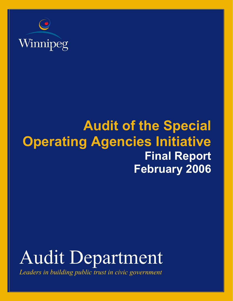

# **Audit of the Special Operating Agencies Initiative Final Report February 2006**



*Leaders in building public trust in civic government*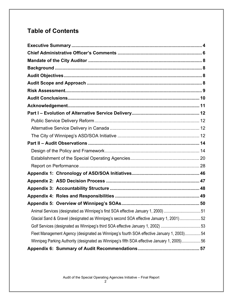# **Table of Contents**

| Animal Services (designated as Winnipeg's first SOA effective January 1, 2000) 51           |  |
|---------------------------------------------------------------------------------------------|--|
| Glacial Sand & Gravel (designated as Winnipeg's second SOA effective January 1, 2001)52     |  |
|                                                                                             |  |
| Fleet Management Agency (designated as Winnipeg's fourth SOA effective January 1, 2003) 54  |  |
| Winnipeg Parking Authority (designated as Winnipeg's fifth SOA effective January 1, 2005)56 |  |
|                                                                                             |  |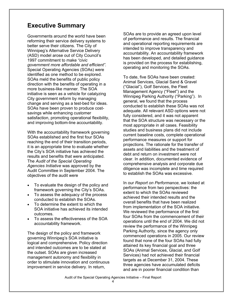### **Executive Summary**

Governments around the world have been reforming their service delivery systems to better serve their citizens. The City of Winnipeg's Alternative Service Delivery (ASD) model arose out of City Council's 1997 commitment to make *"civic government more affordable and efficient"*. Special Operating Agencies (SOAs) were identified as one method to be explored. SOAs meld the benefits of public policy direction with the benefits of operating in a more business-like manner. The SOA initiative is seen as a vehicle for catalyzing City government reform by managing change and serving as a test-bed for ideas. SOAs have been proven to produce costsavings while enhancing customer satisfaction, promoting operational flexibility, and improving bottom-line accountability.

With the accountability framework governing SOAs established and the first four SOAs reaching the end of their transition periods, it is an appropriate time to evaluate whether the City's SOA initiative has achieved the results and benefits that were anticipated. The *Audit of the Special Operating Agencies Initiative* was approved by the Audit Committee in September 2004. The objectives of the audit were

- To evaluate the design of the policy and framework governing the City's SOAs.
- To assess the adequacy of the process conducted to establish the SOAs.
- To determine the extent to which the SOA initiative has achieved its intended outcomes.
- To assess the effectiveness of the SOA accountability framework.

The design of the policy and framework governing Winnipeg's SOA initiative is logical and comprehensive. Policy direction and intended outcomes are to be stated at the outset. SOAs are given increased management autonomy and flexibility in order to stimulate innovation and continuous improvement in service delivery. In return,

SOAs are to provide an agreed upon level of performance and results. The financial and operational reporting requirements are intended to improve transparency and accountability. An accountability framework has been developed, and detailed guidance is provided on the process for establishing, operating and monitoring the SOAs.

To date, five SOAs have been created: Animal Services, Glacial Sand & Gravel ("Glacial"), Golf Services, the Fleet Management Agency ("Fleet") and the Winnipeg Parking Authority ("Parking"). In general, we found that the process conducted to establish these SOAs was not adequate. All relevant ASD options were not fully considered, and it was not apparent that the SOA structure was necessary or the most appropriate in all cases. Feasibility studies and business plans did not include current baseline costs, complete operational performance measures or support for projections. The rationale for the transfer of assets and liabilities and the treatment of debt and return on investment were not clear. In addition, documented evidence of comprehensive analysis and corporate due diligence was incomplete and time required to establish the SOAs was excessive.

In our *Report on Performance,* we looked at performance from two perspectives: the extent to which the SOAs reviewed achieved their intended results and the overall benefits that have been realized from implementation of the SOA initiative. We reviewed the performance of the first four SOAs from the commencement of their operations until the end of 2004. We did not review the performance of the Winnipeg Parking Authority, since the agency only commenced operations in 2005. Our review found that none of the four SOAs had fully attained its key financial goal and three SOAs (Animal Services, Glacial, and Golf Services) had not achieved their financial targets as at December 31, 2004. These three agencies have accumulated deficits and are in poorer financial condition than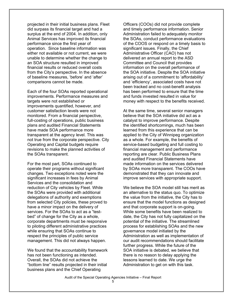projected in their initial business plans. Fleet did surpass its financial target and had a surplus at the end of 2004. In addition, only Animal Services has improved its financial performance since the first year of operation. Since baseline information was either not available or not current, we were unable to determine whether the change to an SOA structure resulted in improved financial results or reduced overall costs from the City's perspective. In the absence of baseline measures, 'before' and 'after' comparisons cannot be made.

Each of the four SOAs reported operational improvements. Performance measures and targets were not established or improvements quantified, however, and customer satisfaction levels were not monitored. From a financial perspective, full-costing of operations, public business plans and audited Financial Statements have made SOA performance more transparent at the agency level. This was not true from the corporate perspective. City Operating and Capital budgets require revisions to make the planned activities of the SOAs transparent.

For the most part, SOAs continued to operate their programs without significant changes. Two exceptions noted were the significant increases in fees by Animal Services and the consolidation and reduction of City vehicles by Fleet. While the SOAs were provided with additional delegations of authority and exemptions from selected City policies, these proved to have a minor impact on the delivery of services. For the SOAs to act as a "testbed" of change for the City as a whole, corporate departments must be responsive to piloting different administrative practices while ensuring that SOAs continue to respect the principles of public service management. This did not always happen.

We found that the accountability framework has not been functioning as intended. Overall, the SOAs did not achieve the "bottom line" results projected in their initial business plans and the Chief Operating

Officers (COOs) did not provide complete and timely performance information. Senior Administration failed to adequately monitor the SOAs, conduct performance evaluations of the COOS or respond on a timely basis to significant issues. Finally, the Chief Administrative Officer (CAO) has not delivered an annual report to the ASD Committee and Council that provides information on the overall performance of the SOA initiative. Despite the SOA initiative arising out of a commitment to 'affordability' and 'efficiency', associated costs have not been tracked and no cost-benefit analysis has been performed to ensure that the time and funds invested resulted in value for money with respect to the benefits received.

At the same time, several senior managers believe that the SOA initiative did act as a catalyst to improve performance. Despite the identified shortcomings, much has been learned from this experience that can be applied to the City of Winnipeg organization as a whole. For example, the benefits of service-based budgeting and full costing to financial management and performance reporting are clear. Public Business Plans and audited Financial Statements have made information on the services delivered by SOAs more transparent. The COOs have demonstrated that they can innovate and improve services with appropriate support.

We believe the SOA model still has merit as an alternative to the status quo. To optimize the value from the initiative, the City has to ensure that the model functions as designed and that corporate support is on-going. While some benefits have been realized to date, the City has not fully capitalized on the potential of the initiative. The streamlined process for establishing SOAs and the new governance model initiated by the Administration as well as implementation of our audit recommendations should facilitate further progress. While the future of the SOA initiative is debated, we believe that there is no reason to delay applying the lessons learned to date. We urge the Administration to get on with this task.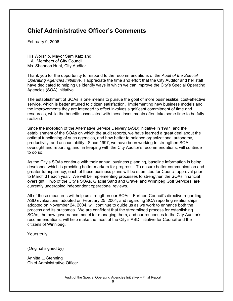# **Chief Administrative Officer's Comments**

February 9, 2006

His Worship, Mayor Sam Katz and All Members of City Council Ms. Shannon Hunt, City Auditor

Thank you for the opportunity to respond to the recommendations of the *Audit of the Special Operating Agencies Initiative*. I appreciate the time and effort that the City Auditor and her staff have dedicated to helping us identify ways in which we can improve the City's Special Operating Agencies (SOA) initiative.

The establishment of SOAs is one means to pursue the goal of more businesslike, cost-effective service, which is better attuned to citizen satisfaction. Implementing new business models and the improvements they are intended to effect involves significant commitment of time and resources, while the benefits associated with these investments often take some time to be fully realized.

Since the inception of the Alternative Service Delivery (ASD) initiative in 1997, and the establishment of the SOAs on which the audit reports, we have learned a great deal about the optimal functioning of such agencies, and how better to balance organizational autonomy, productivity, and accountability. Since 1997, we have been working to strengthen SOA oversight and reporting, and, in keeping with the City Auditor's recommendations, will continue to do so.

As the City's SOAs continue with their annual business planning, baseline information is being developed which is providing better markers for progress. To ensure better communication and greater transparency, each of these business plans will be submitted for Council approval prior to March 31 each year. We will be implementing processes to strengthen the SOAs' financial oversight. Two of the City's SOAs, Glacial Sand and Gravel and Winnipeg Golf Services, are currently undergoing independent operational reviews.

All of these measures will help us strengthen our SOAs. Further, Council's directive regarding ASD evaluations, adopted on February 25, 2004, and regarding SOA reporting relationships, adopted on November 24, 2004, will continue to guide us as we work to enhance both the process and its outcomes. We are confident that the streamlined process for establishing SOAs, the new governance model for managing them, and our responses to the City Auditor's recommendations, will help make the most of the City's ASD initiative for Council and the citizens of Winnipeg.

Yours truly,

(Original signed by)

Annitta L. Stenning Chief Administrative Officer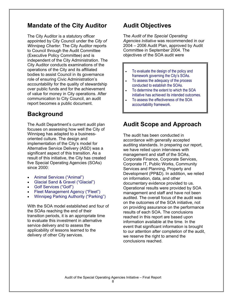### **Mandate of the City Auditor**

The City Auditor is a statutory officer appointed by City Council under the *City of Winnipeg Charter*. The City Auditor reports to Council through the Audit Committee (Executive Policy Committee) and is independent of the City Administration. The City Auditor conducts examinations of the operations of the City and its affiliated bodies to assist Council in its governance role of ensuring Civic Administration's accountability for the quality of stewardship over public funds and for the achievement of value for money in City operations. After communication to City Council, an audit report becomes a public document.

# **Background**

The Audit Department's current audit plan focuses on assessing how well the City of Winnipeg has adapted to a businessoriented culture. The design and implementation of the City's model for Alternative Service Delivery (ASD) was a significant aspect of this transition. As a result of this initiative, the City has created five Special Operating Agencies (SOAs) since 2000:

- Animal Services ("Animal")
- Glacial Sand & Gravel ("Glacial")
- Golf Services ("Golf")
- Fleet Management Agency ("Fleet")
- Winnipeg Parking Authority ("Parking")

With the SOA model established and four of the SOAs reaching the end of their transition periods, it is an appropriate time to evaluate this investment in alternative service delivery and to assess the applicability of lessons learned to the delivery of other City services.

# **Audit Objectives**

The *Audit of the Special Operating Agencies Initiative* was recommended in our 2004 – 2006 Audit Plan, approved by Audit Committee in September 2004. The objectives of the SOA audit were

- To evaluate the design of the policy and framework governing the City's SOAs.
- To assess the adequacy of the process conducted to establish the SOAs.
- To determine the extent to which the SOA initiative has achieved its intended outcomes.
- To assess the effectiveness of the SOA accountability framework.

# **Audit Scope and Approach**

The audit has been conducted in accordance with generally accepted auditing standards. In preparing our report, we have relied upon interviews with management and staff of the SOAs, Corporate Finance, Corporate Services, Corporate IT, Public Works, Community Services and Planning, Property and Development (PP&D). In addition, we relied on information, data, and other documentary evidence provided to us. Operational results were provided by SOA management and staff and have not been audited. The overall focus of the audit was on the outcomes of the SOA initiative, not on providing assurance on the performance results of each SOA. The conclusions reached in this report are based upon information available at the time. In the event that significant information is brought to our attention after completion of the audit, we reserve the right to amend the conclusions reached.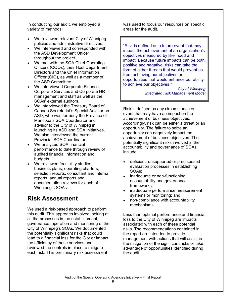In conducting our audit, we employed a variety of methods:

- We reviewed relevant City of Winnipeg policies and administrative directives.
- We interviewed and corresponded with the ASD Development Officer throughout the project.
- We met with the SOA Chief Operating Officers (COOs), their Host Department Directors and the Chief Information Officer (CIO), as well as a member of the ASD Committee.
- We interviewed Corporate Finance, Corporate Services and Corporate HR management and staff as well as the SOAs' external auditors.
- We interviewed the Treasury Board of Canada Secretariat's Special Advisor on ASD, who was formerly the Province of Manitoba's SOA Coordinator and advisor to the City of Winnipeg in launching its ASD and SOA initiatives. We also interviewed the current Provincial SOA Coordinator.
- We analyzed SOA financial performance to date through review of audited financial information and budgets.
- We reviewed feasibility studies, business plans, operating charters, selection reports, consultant and internal reports, annual reports and documentation reviews for each of Winnipeg's SOAs.

# **Risk Assessment**

We used a risk-based approach to perform this audit. This approach involved looking at all the processes in the establishment, governance, operation and monitoring of the City of Winnipeg's SOAs. We documented the potentially significant risks that could lead to a financial loss for the City or impact the efficiency of these services and reviewed the controls in place to mitigate each risk. This preliminary risk assessment

was used to focus our resources on specific areas for the audit.

"Risk is defined as a future event that may impact the achievement of an organization's objectives measured by likelihood and impact. Because future impacts can be both positive and negative, risks can take the form of either threats that would prevent us from achieving our objectives or opportunities that would enhance our ability to achieve our objectives."

> *- City of Winnipeg Integrated Risk Management Model*

Risk is defined as any circumstance or event that may have an impact on the achievement of business objectives. Accordingly, risk can be either a threat or an opportunity. The failure to seize an opportunity can negatively impact the achievement of business objectives. The potentially significant risks involved in the accountability and governance of SOAs include

- deficient, unsupported or predisposed evaluation processes in establishing SOAs;
- inadequate or non-functioning accountability and governance frameworks;
- inadequate performance measurement systems or monitoring; and
- non-compliance with accountability mechanisms.

Less than optimal performance and financial loss to the City of Winnipeg are impacts associated with each of these potential risks. The recommendations contained in the report are intended to provide management with actions that will assist in the mitigation of the significant risks or take advantage of opportunities identified during the audit.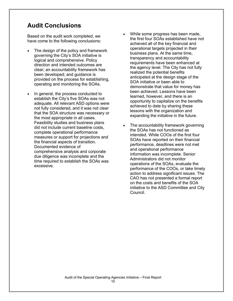### **Audit Conclusions**

Based on the audit work completed, we have come to the following conclusions:

- The design of the policy and framework governing the City's SOA initiative is logical and comprehensive. Policy direction and intended outcomes are clear; an accountability framework has been developed; and guidance is provided on the process for establishing, operating and monitoring the SOAs.
- In general, the process conducted to establish the City's five SOAs was not adequate. All relevant ASD options were not fully considered, and it was not clear that the SOA structure was necessary or the most appropriate in all cases. Feasibility studies and business plans did not include current baseline costs, complete operational performance measures or support for projections and the financial aspects of transition. Documented evidence of comprehensive analysis and corporate due diligence was incomplete and the time required to establish the SOAs was excessive.
- While some progress has been made. the first four SOAs established have not achieved all of the key financial and operational targets projected in their business plans. At the same time, transparency and accountability requirements have been enhanced at the agency level. The City has not fully realized the potential benefits anticipated at the design stage of the SOA initiative or been able to demonstrate that value for money has been achieved. Lessons have been learned, however, and there is an opportunity to capitalize on the benefits achieved to date by sharing these lessons with the organization and expanding the initiative in the future.
- The accountability framework governing the SOAs has not functioned as intended. While COOs of the first four SOAs have reported on their financial performance, deadlines were not met and operational performance information was incomplete. Senior Administrators did not monitor operations of the SOAs, evaluate the performance of the COOs, or take timely action to address significant issues. The CAO has not presented a formal report on the costs and benefits of the SOA initiative to the ASD Committee and City Council.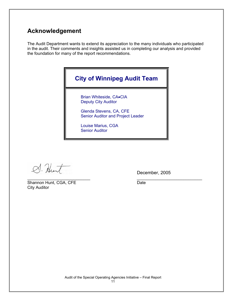### **Acknowledgement**

The Audit Department wants to extend its appreciation to the many individuals who participated in the audit. Their comments and insights assisted us in completing our analysis and provided the foundation for many of the report recommendations.



 $\_$ 

S. Hunt

Shannon Hunt, CGA, CFE Date City Auditor

December, 2005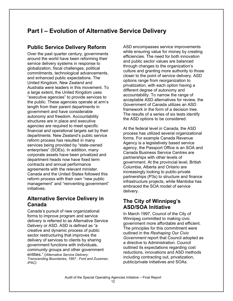# **Part I – Evolution of Alternative Service Delivery**

### **Public Service Delivery Reform**

Over the past quarter century, governments around the world have been reforming their service delivery systems in response to globalization, fiscal challenges, political commitments, technological advancements, and enhanced public expectations. The United Kingdom, New Zealand and Australia were leaders in this movement. To a large extent, the United Kingdom uses "executive agencies" to provide services to the public. These agencies operate at arm's length from their parent departments in government and have considerable autonomy and freedom. Accountability structures are in place and executive agencies are required to meet specific financial and operational targets set by their departments. New Zealand's public service reform process has resulted in many services being provided by "state-owned enterprises" (SOEs). In addition, many corporate assets have been privatized and department heads now have fixed term contracts and annual performance agreements with the relevant minister. Canada and the United States followed this reform process with their own "new public management" and "reinventing government" initiatives.

### **Alternative Service Delivery in Canada**

Canada's pursuit of new organizational forms to improve program and service delivery is referred to as Alternative Service Delivery or ASD. ASD is defined as "a creative and dynamic process of public sector restructuring that improves the delivery of services to clients by sharing government functions with individuals, community groups and other government entities." (*Alternative Service Delivery: Transcending Boundaries, 1997 - Ford and Zussman, IPAC)* 

ASD encompasses service improvements while ensuring value for money by creating efficiencies. The need for both innovation and public sector values are balanced through changes to the organization's culture and granting more authority to those closer to the point of service delivery. ASD options range from reorganization to privatization, with each option having a different degree of autonomy and accountability. To narrow the range of acceptable ASD alternatives for review, the Government of Canada utilizes an ASD framework in the form of a decision tree. The results of a series of six tests identify the ASD options to be considered.

At the federal level in Canada, the ASD process has utilized several organizational forms. For example Canada Revenue Agency is a legislatively based service agency, the Passport Office is an SOA and Canada Business Service Centres are partnerships with other levels of government. At the provincial level, British Columbia, Alberta and Ontario are increasingly looking to public-private partnerships (P3s) to structure and finance infrastructure projects, while Manitoba has embraced the SOA model of service delivery.

### **The City of Winnipeg's ASD/SOA Initiative**

In March 1997, Council of the City of Winnipeg committed to making civic government more affordable and efficient. The principles for this commitment were outlined in the *Reshaping Our Civic Government* report that Council adopted as a directive to Administration. Council outlined its expectations regarding cost reductions, innovations and ASD methods including contracting out, privatization, public/private initiatives and SOAs.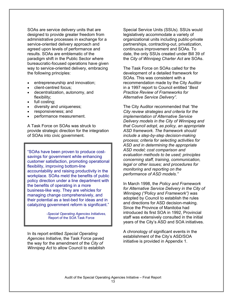SOAs are service delivery units that are designed to provide greater freedom from administrative processes in exchange for a service-oriented delivery approach and agreed upon levels of performance and results. SOAs are emblematic of the paradigm shift in the Public Sector where bureaucratic-focused operations have given way to service-oriented delivery, embracing the following principles:

- entrepreneurship and innovation;
- client-centred focus;
- decentralization, autonomy, and flexibility;
- full costing;
- diversity and uniqueness;
- responsiveness; and
- performance measurement.

A Task Force on SOAs was struck to provide strategic direction for the integration of SOAs into civic government.

"SOAs have been proven to produce costsavings for government while enhancing customer satisfaction, promoting operational flexibility, improving bottom-line accountability and raising productivity in the workplace. SOAs meld the benefits of public policy direction under a line department with the benefits of operating in a more business-like way. They are vehicles for managing change comprehensively, and their potential as a test-bed for ideas and in catalyzing government reform is significant."

> *-Special Operating Agencies Initiatives,*  Report of the SOA Task Force

In its report entitled *Special Operating Agencies Initiative*, the Task Force paved the way for the amendment of the *City of Winnipeg Act* to allow Council to establish

Special Service Units (SSUs). SSUs would legislatively accommodate a variety of organizational units including public-private partnerships, contracting-out, privatization, continuous improvement and SOAs. To date, the only SSUs created under Bill 39 of the *City of Winnipeg Charter Act* are SOAs.

The Task Force on SOAs called for the development of a detailed framework for SOAs. This was consistent with a recommendation made by the City Auditor in a 1997 report to Council entitled "*Best Practice Review of Frameworks for Alternative Service Delivery".*

The City Auditor recommended that *"the City review strategies and criteria for the implementation of Alternative Service Delivery models in the City of Winnipeg and that Council adopt, as policy, an appropriate ASD framework. The framework should include a step-by-step decision-making process; criteria for selecting activities for ASD and in determining the appropriate ASD model; cost comparison and evaluation methods to be used; principles concerning staff, training, communication, legal or other issues; and procedures for monitoring and reporting on the performance of ASD models."* 

In March 1998, the *Policy and Framework for Alternative Service Delivery in the City of Winnipeg ("Policy and Framework")* was adopted by Council to establish the rules and directions for ASD decision-making. Since the Province of Manitoba had introduced its first SOA in 1992, Provincial staff was extensively consulted in the initial years of the City's ASD and SOA initiatives.

A chronology of significant events in the establishment of the City's ASD/SOA initiative is provided in Appendix 1.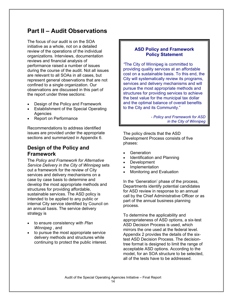# **Part II – Audit Observations**

The focus of our audit is on the SOA initiative as a whole, not on a detailed review of the operations of the individual organizations. Interviews, documentation reviews and financial analysis of performance raised a number of issues during the course of the audit. Not all issues are relevant to all SOAs in all cases, but represent general observations that are not confined to a single organization. Our observations are discussed in this part of the report under three sections:

- Design of the Policy and Framework
- Establishment of the Special Operating **Agencies**
- Report on Performance

Recommendations to address identified issues are provided under the appropriate sections and summarized in Appendix 6.

### **Design of the Policy and Framework**

The *Policy and Framework for Alternative Service Delivery in the City of Winnipeg* sets out a framework for the review of City services and delivery mechanisms on a case by case basis to determine and develop the most appropriate methods and structures for providing affordable, sustainable services. The ASD policy is intended to be applied to any public or internal City service identified by Council on an annual basis. The service delivery strategy is

- to ensure consistency with *Plan Winnipeg* , and
- to pursue the most appropriate service delivery methods and structures while continuing to protect the public interest.

### **ASD Policy and Framework Policy Statement**

*"*The City of Winnipeg is committed to providing quality services at an affordable cost on a sustainable basis. To this end, the City will systematically review its programs, services and delivery mechanisms and will pursue the most appropriate methods and structures for providing services to achieve the best value for the municipal tax dollar and the optimal balance of overall benefits to the City and its Community."

> - *Policy and Framework for ASD in the City of Winnipeg*

The policy directs that the ASD Development Process consists of five phases:

- **Generation**
- Identification and Planning
- Development
- **Implementation**
- Monitoring and Evaluation

In the 'Generation' phase of the process, Departments identify potential candidates for ASD review in response to an annual call by the Chief Administrative Officer or as part of the annual business planning process.

To determine the applicability and appropriateness of ASD options, a six-test ASD Decision Process is used, which mirrors the one used at the federal level. Appendix 2 provides the details of the sixtest ASD Decision Process. The decisiontree format is designed to limit the range of acceptable ASD options. According to the model, for an SOA structure to be selected, all of the tests have to be addressed.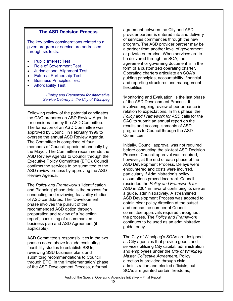#### **The ASD Decision Process**

The key policy considerations related to a given program or service are addressed through six tests:

- Public Interest Test
- Role of Government Test
- Jurisdictional Alignment Test
- External Partnership Test
- Business Principles Test
- Affordability Test

-*Policy and Framework for Alternative Service Delivery in the City of Winnipeg* 

Following review of the potential candidates, the CAO prepares an ASD Review Agenda for consideration by the ASD Committee. The formation of an ASD Committee was approved by Council in February 1999 to oversee the annual ASD Review Agenda. The Committee is comprised of four members of Council, appointed annually by the Mayor. The Committee recommends the ASD Review Agenda to Council through the Executive Policy Committee (EPC). Council confirms the services to be submitted to the ASD review process by approving the ASD Review Agenda.

The *Policy and Framework's* 'Identification and Planning' phase details the process for conducting and reviewing feasibility studies of ASD candidates. The 'Development' phase involves the pursuit of the recommended ASD option through preparation and review of a 'selection report', consisting of a summarized business plan and ASD Agreement (if applicable).

ASD Committee's responsibilities in the two phases noted above include evaluating feasibility studies to establish SSUs, reviewing SSU business plans and submitting recommendations to Council through EPC. In the 'Implementation' phase of the ASD Development Process, a formal

agreement between the City and ASD provider partner is entered into and delivery of services commences through the new program. The ASD provider partner may be a partner from another level of government or private enterprise. When services are to be delivered through an SOA, the agreement or governing document is in the form of a customized operating charter. Operating charters articulate an SOA's guiding principles, accountability, financial and reporting structures and management flexibilities.

'Monitoring and Evaluation' is the last phase of the ASD Development Process. It involves ongoing review of performance in relation to expectations. In this phase, the *Policy and Framework for ASD* calls for the CAO to submit an annual report on the results and accomplishments of ASD programs to Council through the ASD Committee.

Initially, Council approval was not required before conducting the six-test ASD Decision Process. Council approval was required, however, at the end of each phase of the ASD Development Process. Delays were encountered and costs were incurred, particularly if Administration's policy assumptions proved incorrect. Council rescinded the *Policy and Framework for*  ASD in 2004 in favor of continuing its use as a guide, administratively. A streamlined ASD Development Process was adopted to obtain clear policy direction at the outset and reduce the number of Council committee approvals required throughout the process. The *Policy and Framework* continues to be used as an administrative quide today.

The City of Winnipeg's SOAs are designed as City agencies that provide goods and services utilizing City capital, administration and employees under the *City of Winnipeg Master Collective Agreement*. Policy direction is provided through civic administration and elected officials, but SOAs are granted certain freedoms,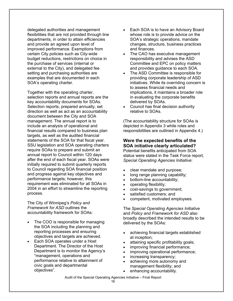delegated authorities and management flexibilities that are not provided through line departments, in order to attain efficiencies and provide an agreed upon level of improved performance. Exemptions from certain City policies such as City-wide budget reductions, restrictions on choice in the purchase of services (internal or external to the City), and delegated fee setting and purchasing authorities are examples that are documented in each SOA's operating charter.

Together with the operating charter, selection reports and annual reports are the key accountability documents for SOAs. Selection reports, prepared annually, set direction as well as act as an accountability document between the City and SOA management. The annual report is to include an analysis of operational and financial results compared to business plan targets, as well as the audited financial statements of the SOA for that fiscal year. SSU legislation and SOA operating charters require SOAs to prepare and submit an annual report to Council within 120 days after the end of each fiscal year. SOAs were initially required to submit quarterly reports to Council regarding SOA financial position and progress against key objectives and performance targets; however, this requirement was eliminated for all SOAs in 2004 in an effort to streamline the reporting process.

The City of Winnipeg's *Policy and Framework for ASD* outlines the accountability framework for SOAs:

- The COO is responsible for managing the SOA including the planning and reporting processes and ensuring objectives and targets are achieved.
- Each SOA operates under a Host Department. The Director of the Host Department is to monitor the Agency's "management, operations and performance relative to attainment of civic goals and departmental objectives".
- Each SOA is to have an Advisory Board whose role is to provide advice on the SOA's strategic operations, mandate changes, structure, business practices and finances.
- The CAO has executive management responsibility and advises the ASD Committee and EPC on policy matters and provides guidance to each SOA.
- The ASD Committee is responsible for providing corporate leadership of ASD initiatives. While its overriding concern is to assess financial needs and implications, it maintains a broader role in evaluating the corporate benefits delivered by SOAs.
- Council has final decision authority relative to SOAs.

(The accountability structure for SOAs is depicted in Appendix 3 while roles and responsibilities are outlined in Appendix 4.)

### **Were the expected benefits of the SOA initiative clearly articulated?**

Potential benefits anticipated from SOA status were stated in the Task Force report*, Special Operating Agencies Initiative*:

- clear mandate and purpose;
- long range planning capability;
- bottom-line accountability;
- operating flexibility;
- cost-savings to government;
- satisfied customers; and
- competent, motivated employees.

The *Special Operating Agencies Initiative* and *Policy and Framework for ASD* also broadly described the intended results to be delivered by the SOAs:

- achieving financial targets established at inception;
- attaining specific profitability goals;
- improving financial performance;
- improving operational performance;
- increasing transparency;
- achieving more autonomy and management flexibility; and
- enhancing accountability.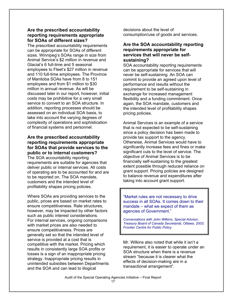#### **Are the prescribed accountability reporting requirements appropriate for SOAs of different sizes?**

The prescribed accountability requirements can be appropriate for SOAs of different sizes. Winnipeg's SOAs range in size from Animal Service's \$2 million in revenue and Glacial's 6 full-time and 5 seasonal employees to Fleet's \$27 million in revenue and 110 full-time employees. The Province of Manitoba SOAs have from 8 to 151 employees and from \$1 million to \$30 million in annual revenue. As will be discussed later in our report, however, initial costs may be prohibitive for a very small service to convert to an SOA structure. In addition, reporting processes should be assessed on an individual SOA basis, to take into account the varying degrees of complexity of operations and sophistication of financial systems and personnel.

### **Are the prescribed accountability reporting requirements appropriate for SOAs that provide services to the public or to internal customers?**

The SOA accountability reporting requirements are suitable for agencies that deliver public or internal services. All costs of operating are to be accounted for and are to be reported on. The SOA mandate, customers and the intended level of profitability shapes pricing policies.

Where SOAs are providing services to the public, prices are based on market rates to ensure competitiveness. Rate structures, however, may be impacted by other factors such as public interest considerations. For internal services, ongoing comparisons with market prices are also needed to ensure competitiveness. Prices are generally set so that the intended level of service is provided at a cost that is competitive with the market. Pricing which results in consistently large SOA profits or losses is a sign of an inappropriate pricing strategy. Inappropriate pricing results in unintended subsidies between Departments and the SOA and can lead to illogical

decisions about the level of consumption/use of goods and services.

#### **Are the SOA accountability reporting requirements appropriate for services that will never be selfsustaining?**

SOA accountability reporting requirements can be appropriate for services that will never be self-sustaining. An SOA can commit to provide an agreed upon level of performance and results without the requirement to be self-sustaining in exchange for increased management flexibility and a funding commitment. Once again, the SOA mandate, customers and the intended level of profitability shapes pricing policies.

Animal Services is an example of a service that is not expected to be self-sustaining since a policy decision has been made to provide tax support to the agency. Otherwise, Animal Services would have to significantly increase fees and fines or make significant cuts to the level of service. The objective of Animal Services is to be financially self-sustaining to the greatest extent possible through reduced reliance on grant support. Pricing policies are designed to balance revenue and expenditures after taking into account grant support.

"Market rules are not necessary to drive success in all SOAs. It comes down to their mandate – what we expect of them as agencies of Government."

*Conversations with John Wilkins, Special Advisor, Treasury Board of Canada Secretariat, Ottawa, 2003; Frontier Centre for Public Policy* 

Mr. Wilkins also noted that while it isn't a requirement, it is easier to operate under an SOA structure when there is a revenue stream "because it is clearer what the effects of decision-making are in a transactional arrangement".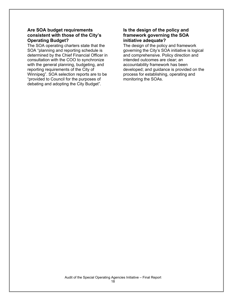#### **Are SOA budget requirements consistent with those of the City's Operating Budget?**

The SOA operating charters state that the SOA "planning and reporting schedule is determined by the Chief Financial Officer in consultation with the COO to synchronize with the general planning, budgeting, and reporting requirements of the City of Winnipeg". SOA selection reports are to be "provided to Council for the purposes of debating and adopting the City Budget".

#### **Is the design of the policy and framework governing the SOA initiative adequate?**

The design of the policy and framework governing the City's SOA initiative is logical and comprehensive. Policy direction and intended outcomes are clear; an accountability framework has been developed; and guidance is provided on the process for establishing, operating and monitoring the SOAs.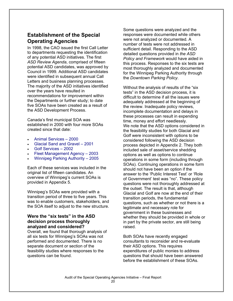### **Establishment of the Special Operating Agencies**

In 1998, the CAO issued the first Call Letter to departments requesting the identification of any potential ASD initiatives. The first *ASD Review Agenda*, comprised of fifteen potential ASD candidates, was approved by Council in 1999. Additional ASD candidates were identified in subsequent annual Call Letters and business planning processes. The majority of the ASD initiatives identified over the years have resulted in recommendations for improvement within the Departments or further study; to date five SOAs have been created as a result of the ASD Development Process.

Canada's first municipal SOA was established in 2000 with four more SOAs created since that date:

- Animal Services 2000
- Glacial Sand and Gravel 2001
- Golf Services 2002
- Fleet Management Agency 2003
- Winnipeg Parking Authority 2005

Each of these services was included in the original list of fifteen candidates. An overview of Winnipeg's current SOAs is provided in Appendix 5.

Winnipeg's SOAs were provided with a transition period of three to five years. This was to enable customers, stakeholders, and the SOA itself to adjust to the new structure.

#### **Were the "six tests" in the ASD decision process thoroughly analyzed and considered?**

Overall, we found that thorough analysis of all six tests for Winnipeg's SOAs was not performed and documented. There is no separate document or section of the feasibility studies where responses to the questions can be found.

Some questions were analyzed and the responses were documented while others were not analyzed or documented. A number of tests were not addressed in sufficient detail. Responding to the ASD detailed questions provided in *the ASD Policy and Framework* would have aided in this process. Responses to the six tests are most thoroughly analyzed and documented for the Winnipeg Parking Authority through the *Downtown Parking Policy*.

Without the analysis of results of the "six tests" in the ASD decision process, it is difficult to determine if all the issues were adequately addressed at the beginning of the review. Inadequate policy reviews, incomplete documentation and delays in these processes can result in expending time, money and effort needlessly. We note that the ASD options considered in the feasibility studies for both Glacial and Golf were inconsistent with options to be considered following the ASD decision process depicted in Appendix 2. They both included sale of asset/service shedding options as well as options to continue operations in some form (including through SOAs). Continuing operations in some form should not have been an option if the answer to the 'Public Interest Test' or 'Role of Government' test was "no". These policy questions were not thoroughly addressed at the outset. The result is that, although Glacial and Golf are now at the end of their transition periods, the fundamental questions, such as whether or not there is a legitimate and necessary role for government in these businesses and whether they should be provided in whole or in part by the private sector, are still being raised.

Both SOAs have recently engaged consultants to reconsider and re-evaluate their ASD options. This requires expenditures of public monies to address questions that should have been answered before the establishment of these SOAs.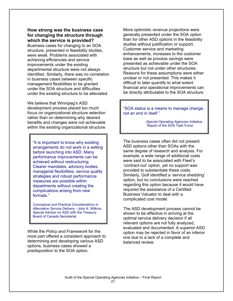#### **How strong was the business case for changing the structure through which the service is provided?**

Business cases for changing to an SOA structure, presented in feasibility studies, were weak. Problems associated with achieving efficiencies and service improvements under the existing departmental structure were not always identified. Similarly, there was no correlation in business cases between specific management flexibilities to be granted under the SOA structure and difficulties under the existing structure to be alleviated.

We believe that Winnipeg's ASD development process placed too much focus on organizational structure selection rather than on determining why desired benefits and changes were not achievable within the existing organizational structure.

"It is important to know why existing arrangements do not work in a setting before launching into ASD. Many performance improvements can be achieved without restructuring. Clearer mandates, advisory bodies, managerial flexibilities, service quality strategies and robust performance measures are possible within departments without creating the complications arising from new formats."

*Conceptual and Practical Considerations in Alternative Service Delivery -* John K. Wilkins, Special Advisor on ASD with the Treasury Board of Canada Secretariat

While the *Policy and Framework* for the most part offered a consistent approach to determining and developing various ASD options, business cases showed a predisposition to the SOA option.

More optimistic revenue projections were generally presented under the SOA option than for other ASD options in the feasibility studies without justification or support. Customer service and marketing enhancements, increases to the customer base as well as process savings were presented as achievable under the SOA structure but not under other structures. Reasons for these assumptions were either unclear or not presented. This makes it difficult to later quantify to what extent financial and operational improvements can be directly attributable to the SOA structure.

"SOA status is a means to manage change, not an end in itself."

> *-Special Operating Agencies Initiative,*  **Report of the SOA Task Force**

The business cases often did not present ASD options other than SOAs with the same degree of research and analysis. For example, a wide range of additional costs were said to be associated with Fleet's 'contract-out' option, yet no support was provided to substantiate these costs. Similarly, Golf identified a 'service shedding' option, but no conclusions were reached regarding this option because it would have required the assistance of a Certified Business Valuator to deal with a complicated cost model.

The ASD development process cannot be shown to be effective in arriving at the optimal service delivery decision if all relevant options are not fully analyzed, evaluated and documented. A superior ASD option may be rejected in favor of an inferior one due to a lack of a complete and balanced review.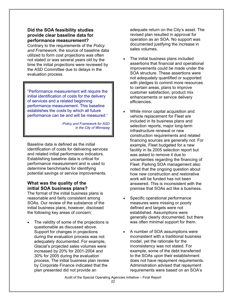#### **Did the SOA feasibility studies provide clear baseline data for performance measurement?**

Contrary to the requirements of the *Policy and Framework*, the source of baseline data utilized to form cost projections was often not stated or was several years old by the time the initial projections were reviewed by the ASD Committee due to delays in the evaluation process.

"Performance measurement will require the initial identification of costs for the delivery of services and a related beginning performance measurement. This baseline establishes the costs by which all future performance can be and will be measured*."* 

> *-Policy and Framework for ASD in the City of Winnipeg*

Baseline data is defined as the initial identification of costs for delivering services and related initial performance indicators. Establishing baseline data is critical for performance measurement and is used to determine benchmarks for identifying potential savings or service improvements.

#### **What was the quality of the initial SOA business plans?**

The format of the initial business plans is reasonable and fairly consistent among SOAs. Our review of the substance of the initial business plans, however, disclosed the following key areas of concern:

The validity of some of the projections is questionable as discussed above. Support for changes in projections during the evaluation process was not adequately documented. For example, Glacial's projected sales volumes were increased by 20% for 2001-2004 and 30% for 2005 during the evaluation process. The initial business plan review by Corporate Finance indicated that the plan presented did not provide an

adequate return on the City's asset. The revised plan resulted in approval for operation as an SOA. No support was documented justifying the increase in sales volumes.

- The initial business plans included assertions that financial and operational improvements could be made under the SOA structure. These assertions were not adequately quantified or supported with pledges to commit more resources to certain areas, plans to improve customer satisfaction, product mix enhancements or service delivery efficiencies.
- While minor capital acquisition and vehicle replacement for Fleet are included in its business plans and selection reports, major long-term infrastructure renewal or new construction requirements and related financing sources are generally not. For example, Fleet budgeted for a new facility in its 2005 selection report but was asked to remove it due to uncertainties regarding the financing of Fleet. Parking SOA management also noted that the ongoing question about how new construction and restorative work will be funded has not been answered. This is inconsistent with the premise that SOAs act like a business.
- Specific operational performance measures were missing or poorly defined and targets were not established. Assumptions were generally clearly documented, but there was often minimal support for them.
- A number of SOA assumptions were inconsistent with a traditional business model, yet the rationale for the inconsistency was not stated. For example, some of the debt transferred to the SOAs upon their establishment does not have repayment requirements. Administration advised that repayment requirements were based on an SOA's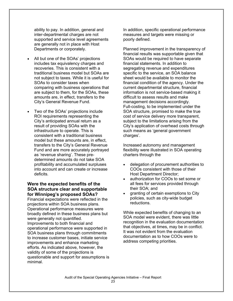ability to pay. In addition, general and inter-departmental charges are not supported and service level agreements are generally not in place with Host Departments or corporately.

- All but one of the SOAs' projections includes tax equivalency charges and recoveries. This is consistent with a traditional business model but SOAs are not subject to taxes. While it is useful for SOAs to consider taxes when comparing with business operations that are subject to them, for the SOAs, these amounts are, in effect, transfers to the City's General Revenue Fund.
- Two of the SOAs' projections include ROI requirements representing the City's anticipated annual return as a result of providing SOAs with the infrastructure to operate. This is consistent with a traditional business model but these amounts are, in effect, transfers to the City's General Revenue Fund and are more accurately portrayed as 'revenue sharing'. These predetermined amounts do not take SOA profitability and accumulated surpluses into account and can create or increase deficits.

#### **Were the expected benefits of the SOA structure clear and supportable for Winnipeg's proposed SOAs?**

Financial expectations were reflected in the projections within SOA business plans. Operational performance measures were broadly defined in these business plans but were generally not quantified. Improvements to both financial and operational performance were supported in SOA business plans through commitments to increase customer bases, initiate service improvements and enhance marketing efforts. As indicated above, however, the validity of some of the projections is questionable and support for assumptions is minimal.

In addition, specific operational performance measures and targets were missing or poorly defined.

Planned improvement in the transparency of financial results was supportable given that SOAs would be required to have separate financial statements. In addition to segregating revenue and expenditures specific to the service, an SOA balance sheet would be available to monitor the financial condition of the agency. Under the current departmental structure, financial information is not service-based making it difficult to assess results and make management decisions accordingly. Full-costing, to be implemented under the SOA structure, promised to make the true cost of service delivery more transparent, subject to the limitations arising from the City's application of overhead costs through such means as 'general government charges'.

Increased autonomy and management flexibility were illustrated in SOA operating charters through the

- delegation of procurement authorities to COOs consistent with those of their Host Department Director;
- authorization for COOs to set some or all fees for services provided through their SOA; and
- granting of certain exemptions to City policies, such as city-wide budget reductions.

While expected benefits of changing to an SOA model were evident, there was little recognition in the evaluation documentation that objectives, at times, may be in conflict. It was not evident from the evaluation documentation as to how COOs were to address competing priorities.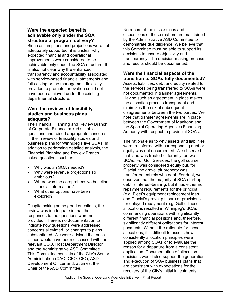#### **Were the expected benefits achievable only under the SOA structure of program delivery?**

Since assumptions and projections were not adequately supported, it is unclear why expected financial and operational improvements were considered to be achievable only under the SOA structure. It is also not clear why the enhanced transparency and accountability associated with service-based financial statements and full-costing or the management flexibility provided to promote innovation could not have been achieved under the existing departmental structure.

#### **Were the reviews of feasibility studies and business plans adequate?**

The Financial Planning and Review Branch of Corporate Finance asked suitable questions and raised appropriate concerns in their review of feasibility studies and business plans for Winnipeg's five SOAs. In addition to performing detailed analysis, the Financial Planning and Review Branch asked questions such as:

- Why was an SOA needed?
- Why were revenue projections so ambitious?
- Where was the comprehensive baseline financial information?
- What other options have been explored?

Despite asking some good questions, the review was inadequate in that the responses to the questions were not provided. There is no documentation to indicate how questions were addressed, concerns alleviated, or changes to plans substantiated. We were advised that such issues would have been discussed with the relevant COO, Host Department Director and the Administrative ASD Committee. This Committee consists of the City's Senior Administration (CAO, CFO, CIO), ASD Development Officer and, at times, the Chair of the ASD Committee.

No record of the discussions and dispositions of these matters are maintained by the Administrative ASD Committee to demonstrate due diligence. We believe that this Committee must be able to support its decisions to ensure objectivity and transparency. The decision-making process and results should be documented.

#### **Were the financial aspects of the transition to SOAs fully documented?**

Assets, liabilities, debt and equity related to the services being transferred to SOAs were not documented in transfer agreements. Having such an agreement in place makes the allocation process transparent and minimizes the risk of subsequent disagreements between the two parties. We note that transfer agreements are in place between the Government of Manitoba and the Special Operating Agencies Financing Authority with respect to provincial SOAs.

The rationale as to why assets and liabilities were transferred with corresponding debt or equity was not documented. We observed that land was treated differently for two SOAs. For Golf Services, the golf course property was considered equity but, for Glacial, the gravel pit property was transferred entirely with debt. For debt, we observed that the majority of SOA start-up debt is interest-bearing, but it has either no repayment requirements for the principal (e.g. Fleet's equipment replacement loan and Glacial's gravel pit loan) or provisions for delayed repayment (e.g. Golf). These allocations resulted in Winnipeg's SOAs commencing operations with significantly different financial positions and, therefore, significantly different obligations for interest payments. Without the rationale for these allocations, it is difficult to assess how consistently allocation principles were applied among SOAs or to evaluate the reason for a departure from a consistent application. Documentation of allocation decisions would also support the generation and execution of SOA business plans that are consistent with expectations for the recovery of the City's initial investments.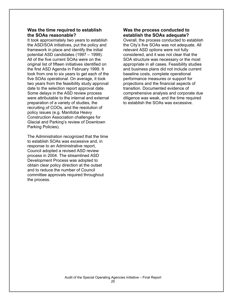#### **Was the time required to establish the SOAs reasonable?**

It took approximately two years to establish the ASD/SOA initiatives, put the policy and framework in place and identify the initial potential ASD candidates (1997 – 1999). All of the five current SOAs were on the original list of fifteen initiatives identified on the first ASD Agenda in February 1999. It took from one to six years to get each of the five SOAs operational. On average, it took two years from the feasibility study approval date to the selection report approval date. Some delays in the ASD review process were attributable to the internal and external preparation of a variety of studies, the recruiting of COOs, and the resolution of policy issues (e.g. Manitoba Heavy Construction Association challenges for Glacial and Parking's review of Downtown Parking Policies).

The Administration recognized that the time to establish SOAs was excessive and, in response to an Administrative report, Council adopted a revised ASD review process in 2004. The streamlined ASD Development Process was adopted to obtain clear policy direction at the outset and to reduce the number of Council committee approvals required throughout the process.

#### **Was the process conducted to establish the SOAs adequate?**

Overall, the process conducted to establish the City's five SOAs was not adequate. All relevant ASD options were not fully considered, and it was not clear that the SOA structure was necessary or the most appropriate in all cases. Feasibility studies and business plans did not include current baseline costs, complete operational performance measures or support for projections and the financial aspects of transition. Documented evidence of comprehensive analysis and corporate due diligence was weak, and the time required to establish the SOAs was excessive.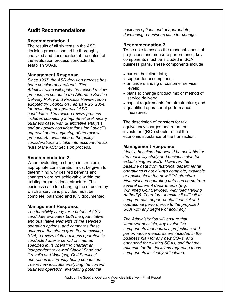### **Audit Recommendations**

#### **Recommendation 1**

The results of all six tests in the ASD decision process should be thoroughly analyzed and documented at the outset of the evaluation process conducted to establish SOAs.

#### **Management Response**

*Since 1997, the ASD decision process has been considerably refined. The Administration will apply the revised review process, as set out in the Alternate Service Delivery Policy and Process Review report adopted by Council on February 25, 2004, for evaluating any potential ASD candidates. The revised review process includes submitting a high-level preliminary business case, with quantitative analysis, and any policy considerations for Council's approval at the beginning of the review process. An evaluation of the policy considerations will take into account the six tests of the ASD decision process*.

#### **Recommendation 2**

When evaluating a change in structure, appropriate consideration must be given to determining why desired benefits and changes were not achievable within the existing organizational structure. The business case for changing the structure by which a service is provided must be complete, balanced and fully documented.

#### **Management Response**

*The feasibility study for a potential ASD candidate evaluates both the quantitative and qualitative elements of the selected operating options, and compares these options to the status quo. For an existing SOA, a review of its business operation is conducted after a period of time, as specified in its operating charter; an independent review of Glacial Sand and Gravel's and Winnipeg Golf Services' operations is currently being conducted. The review includes analyzing the current business operation, evaluating potential* 

*business options and, if appropriate, developing a business case for change.* 

#### **Recommendation 3**

To be able to assess the reasonableness of projections and measure performance, key components must be included in SOA business plans. These components include

- current baseline data;
- support for assumptions;
- an understanding of customer service levels;
- plans to change product mix or method of service delivery;
- capital requirements for infrastructure; and
- quantified operational performance measures.

The description of transfers for tax equivalency charges and return on investment (ROI) should reflect the economic substance of the transaction.

#### **Management Response**

*Ideally, baseline data would be available for the feasibility study and business plan for establishing an SOA. However, the baseline data from historical departmental operations is not always complete, available or applicable to the new SOA structure. Financial and operating data can come from several different departments (e.g. Winnipeg Golf Services, Winnipeg Parking Authority). Therefore, it makes it difficult to compare past departmental financial and operational performance to the proposed SOA with any degree of accuracy.* 

*The Administration will ensure that, wherever possible, key evaluative components that address projections and performance measures are included in the business plan for any new SOAs, and enhanced for existing SOAs, and that the rationale for the decisions regarding those components is clearly articulated.*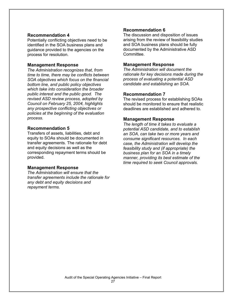#### **Recommendation 4**

Potentially conflicting objectives need to be identified in the SOA business plans and guidance provided to the agencies on the process for resolution.

#### **Management Response**

*The Administration recognizes that, from time to time, there may be conflicts between SOA objectives which focus on the financial bottom line, and public policy objectives which take into consideration the broader public interest and the public good. The revised ASD review process, adopted by Council on February 25, 2004, highlights any prospective conflicting objectives or policies at the beginning of the evaluation process.* 

#### **Recommendation 5**

Transfers of assets, liabilities, debt and equity to SOAs should be documented in transfer agreements. The rationale for debt and equity decisions as well as the corresponding repayment terms should be provided.

#### **Management Response**

*The Administration will ensure that the transfer agreements include the rationale for any debt and equity decisions and repayment terms.* 

#### **Recommendation 6**

The discussion and disposition of issues arising from the review of feasibility studies and SOA business plans should be fully documented by the Administrative ASD Committee.

#### **Management Response**

*The Administration will document the rationale for key decisions made during the process of evaluating a potential ASD candidate and establishing an SOA.* 

#### **Recommendation 7**

The revised process for establishing SOAs should be monitored to ensure that realistic deadlines are established and adhered to.

#### **Management Response**

*The length of time it takes to evaluate a potential ASD candidate, and to establish an SOA, can take two or more years and consume significant resources. In each case, the Administration will develop the feasibility study and (if appropriate) the business plan for an SOA in a timely manner, providing its best estimate of the time required to seek Council approvals.*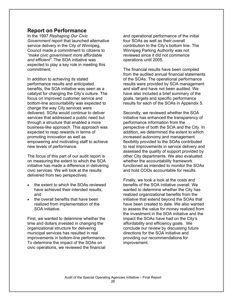### **Report on Performance**

In the 1997 *Reshaping Our Civic Government* report that launched alternative service delivery in the City of Winnipeg, Council made a commitment to citizens to *"make civic government more affordable and efficient"*. The SOA initiative was expected to play a key role in meeting this commitment.

In addition to achieving its stated performance results and anticipated benefits, the SOA initiative was seen as a catalyst for changing the City's culture. The focus on improved customer service and bottom-line accountability was expected to change the way City services were delivered. SOAs would continue to deliver services that addressed a public need but through a structure that enabled a more business-like approach. This approach was expected to reap rewards in terms of promoting innovation as well as empowering and motivating staff to achieve new levels of performance.

The focus of this part of our audit report is on measuring the extent to which the SOA initiative has made a difference in delivering civic services. We will look at the results delivered from two perspectives:

- the extent to which the SOAs reviewed have achieved their intended results; and
- the overall benefits that have been realized from implementation of the SOA initiative.

First, we wanted to determine whether the time and dollars invested in changing the organizational structure for delivering municipal services has resulted in real improvements in bottom-line performance. To determine the impact of the SOAs on civic operations, we reviewed the financial

and operational performance of the initial four SOAs as well as their overall contribution to the City's bottom line. The Winnipeg Parking Authority was not reviewed since it did not commence operations until 2005.

The financial results have been compiled from the audited annual financial statements of the SOAs. The operational performance results were provided by SOA management and staff and have not been audited. We have also included a brief summary of the goals, targets and specific performance results for each of the SOAs in Appendix 5.

Secondly, we reviewed whether the SOA initiative has enhanced the transparency of performance information from the perspective of both the SOA and the City. In addition, we determined the extent to which increased autonomy and management flexibility provided to the SOAs contributed to real improvements in service delivery and assessed the quality of support provided by other City departments. We also evaluated whether the accountability framework functioned as intended to monitor the SOAs and hold COOs accountable for results.

Finally, we took a look at the costs and benefits of the SOA initiative overall. We wanted to determine whether the City has realized organizational benefits from the initiative that extend beyond the SOAs that have been created to date. We also wanted to assess the value for money realized from the investment in the SOA initiative and the impact the SOAs have had on the City's affordability and efficiency goals. We conclude our review by discussing future directions for the SOA initiative and providing our recommendations for improvement.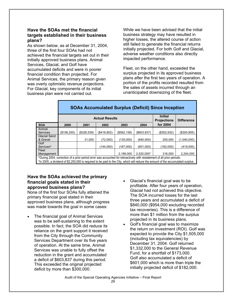#### **Have the SOAs met the financial targets established in their business plans?**

As shown below, as at December 31, 2004, three of the first four SOAs had not achieved the financial targets set out in their initially approved business plans. Animal Services, Glacial, and Golf have accumulated deficits and were in poorer financial condition than projected. For Animal Services, the primary reason given was overly optimistic revenue projections. For Glacial, key components of its initial business plan were not carried out.

While we have been advised that the initial business strategy may have resulted in higher losses, the altered course of action still failed to generate the financial returns initially projected. For both Golf and Glacial, adverse weather conditions also directly impacted performance.

Fleet, on the other hand, exceeded the surplus projected in its approved business plans after the first two years of operation. A portion of the profits recorded resulted from the sales of assets incurred through an unanticipated downsizing of the fleet.

|                                                                                                                                  | <b>SOAs Accumulated Surplus (Deficit) Since Inception</b> |                                                                                    |             |             |             |               |                |
|----------------------------------------------------------------------------------------------------------------------------------|-----------------------------------------------------------|------------------------------------------------------------------------------------|-------------|-------------|-------------|---------------|----------------|
|                                                                                                                                  |                                                           | <b>Initial</b><br><b>Actual Results</b><br><b>Projections</b><br><b>Difference</b> |             |             |             |               |                |
| <b>SOA</b>                                                                                                                       | 2000                                                      | 2001                                                                               | 2002        | 2003        | 2004        | for 2004      |                |
| Animal                                                                                                                           |                                                           |                                                                                    |             |             |             |               |                |
| <b>Services</b>                                                                                                                  | (\$156, 255)                                              | ( \$328, 539)                                                                      | (\$418,802) | (\$562,158) | (\$603.837) | ( \$302, 932) | $($ \$300.905) |
| <b>Glacial Sand</b>                                                                                                              |                                                           |                                                                                    |             |             |             |               |                |
| & Gravel                                                                                                                         |                                                           | 31,000                                                                             | (72.000)    | (135.000)   | (840.000)   | 200.000       | (1.040.000)    |
| Golf                                                                                                                             |                                                           |                                                                                    |             |             |             |               |                |
| Services <sup>^</sup>                                                                                                            |                                                           |                                                                                    | (144,000)   | (167.000)   | (601,000)   | (182.000)     | (419,000)      |
| Fleet                                                                                                                            |                                                           |                                                                                    |             |             |             |               |                |
| Management                                                                                                                       |                                                           |                                                                                    |             | 2.189.000   | 2.520.000*  | 316,000       | 2.204.000      |
| ^During 2004, correction of a prior period error was accounted for retroactively with restatement of all prior periods.          |                                                           |                                                                                    |             |             |             |               |                |
| *In 2005, a dividend of \$2,250,000 is required to be paid to the City, which will reduce the amount of the accumulated surplus. |                                                           |                                                                                    |             |             |             |               |                |

#### **Have the SOAs achieved the primary financial goals stated in their approved business plans?**

None of the first four SOAs fully attained the primary financial goal stated in their approved business plans, although progress was made towards the goal in some cases:

- The financial goal of Animal Services was to be self-sustaining to the extent possible. In fact, the SOA did reduce its reliance on the grant support it received from the City through the Community Services Department over its five years of operation. At the same time, Animal Services was unable to fully offset the reduction in the grant and accumulated a deficit of \$603,837 during this period. This exceeded the original projected deficit by more than \$300,000.
- Glacial's financial goal was to be profitable. After four years of operation, Glacial had not achieved this objective. The SOA incurred losses for the last three years and accumulated a deficit of \$840,000 (\$954,000 excluding recorded tax recoveries). This is a difference of more than \$1 million from the surplus projected in its business plans.
- Golf's financial goal was to maximize the return on investment (ROI). Golf was expected to provide the City \$1,505,000 (including tax equivalencies) by December 31, 2004. Golf returned \$1,332,000 to the General Revenue Fund, for a shortfall of \$173,000. Golf also accumulated a deficit of \$601,000 which is more than triple the initially projected deficit of \$182,000.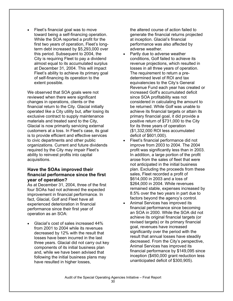• Fleet's financial goal was to move toward being a self-financing operation. While the SOA reported a profit for the first two years of operation, Fleet's longterm debt increased by \$5,293,000 over this period. Subsequent to 2004, the City is requiring Fleet to pay a dividend almost equal to its accumulated surplus at December 31, 2004. This will impact Fleet's ability to achieve its primary goal of self-financing its operation to the extent possible.

We observed that SOA goals were not reviewed when there were significant changes in operations, clients or the financial return to the City. Glacial initially operated like a City utility but, after losing its exclusive contract to supply maintenance materials and treated sand to the City, Glacial is now primarily servicing external customers at a loss. In Fleet's case, its goal is to provide efficient and effective services to civic departments and other public organizations. Current and future dividends required by the City may impair Fleet's ability to reinvest profits into capital acquisitions.

#### **Have the SOAs improved their financial performance since the first year of operation?**

As at December 31, 2004, three of the first four SOAs had not achieved the expected improvement in financial performance. In fact, Glacial, Golf and Fleet have all experienced deterioration in financial performance since their first year of operation as an SOA:

• Glacial's cost of sales increased 44% from 2001 to 2004 while its revenues decreased by 12% with the result that losses have been incurred in the last three years. Glacial did not carry out key components of its initial business plan and, while we have been advised that following the initial business plans may have resulted in higher losses,

the altered course of action failed to generate the financial returns projected at inception. Glacial's financial performance was also affected by adverse weather.

- Partly due to adverse weather conditions, Golf failed to achieve its revenue projections, which resulted in losses in all three years of operation. The requirement to return a predetermined level of ROI and tax equivalencies to the City's General Revenue Fund each year has created or increased Golf's accumulated deficit since SOA profitability was not considered in calculating the amount to be returned. While Golf was unable to achieve its financial targets or attain its primary financial goal, it did provide a positive return of \$731,000 to the City for its three years of operation (\$1,332,000 ROI less accumulated deficit of \$601,000).
- Fleet's financial performance did not improve from 2003 to 2004. The 2004 profit was significantly less than in 2003. In addition, a large portion of the profit arose from the sales of fleet that were not anticipated in the initial business plan. Excluding the proceeds from these sales, Fleet recorded a profit of \$614,000 in 2003 and a loss of \$264,000 in 2004. While revenues remained stable, expenses increased by 8.5% over the two years in part due to factors beyond the agency's control.
- Animal Services has improved its financial performance since becoming an SOA in 2000. While the SOA did not achieve its original financial targets (or revised targets) or its primary financial goal, revenues have increased significantly over the period with the result that annual losses have steadily decreased. From the City's perspective, Animal Services has improved its financial performance by \$149,095 since inception (\$450,000 grant reduction less unanticipated deficit of \$300,905).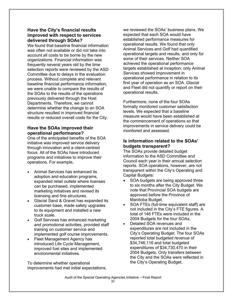#### **Have the City's financial results improved with respect to services delivered through SOAs?**

We found that baseline financial information was often not available or did not take into account all costs to be borne by the new organizations. Financial information was frequently several years old by the time selection reports were reviewed by the ASD Committee due to delays in the evaluation process. Without complete and relevant baseline financial performance information, we were unable to compare the results of the SOAs to the results of the operations previously delivered through the Host Departments. Therefore, we cannot determine whether the change to an SOA structure resulted in improved financial results or reduced overall costs for the City.

#### **Have the SOAs improved their operational performance?**

One of the anticipated benefits of the SOA initiative was improved service delivery through innovation and a client-centred focus. All of the SOAs have introduced programs and initiatives to improve their operations. For example,

- Animal Services has enhanced its adoption and education programs, expanded retail outlets where licenses can be purchased, implemented marketing initiatives and revised its licensing and fine structures.
- Glacial Sand & Gravel has expanded its customer base, made safety upgrades to its equipment and installed a new truck scale.
- Golf Services has enhanced marketing and promotional activities, provided staff training on customer service and implemented golf course improvements.
- Fleet Management Agency has introduced Life Cycle Management, improved fuel sites and implemented environmental initiatives.

To determine whether operational improvements had met initial expectations, we reviewed the SOAs' business plans. We expected that each SOA would have established performance measures for operational results. We found that only Animal Services and Golf had quantified operational targets and results, and only for some of their services. Neither SOA achieved the operational performance targets established at inception; only Animal Services showed improvement in operational performance in relation to its first year of operation as an SOA. Glacial and Fleet did not quantify or report on their operational results.

Furthermore, none of the four SOAs formally monitored customer satisfaction levels. We expected that a baseline measure would have been established at the commencement of operations so that improvements in service delivery could be monitored and assessed.

### **Is information related to the SOAs' budgets transparent?**

The SOAs provide detailed budget information to the ASD Committee and Council each year in their annual selection reports. SOA operations, however, are not transparent within the City's Operating and Capital Budgets:

- SOA budgets are being approved three to six months after the City Budget. We note that Provincial SOA budgets are approved before the Province of Manitoba Budget.
- SOA FTEs (full-time equivalent staff) are not included in the City's FTE figures. A total of 146 FTEs were included in the 2004 Budgets for the four SOAs.
- Detailed SOA revenues and expenditures are not included in the City's Operating Budget. The four SOAs reported total budgeted revenue of \$34,746,116 and total budgeted expenditures of \$34,730,470 in their 2004 Budgets. Only transfers between the City and the SOAs were reflected in the City's Operating Budget.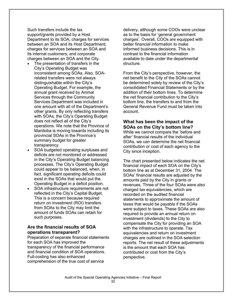Such transfers include the tax support/grants provided by a Host Department to its SOA; charges for services between an SOA and its Host Department; charges for services between an SOA and its internal customers; and corporate charges between an SOA and the City.

- The presentation of transfers in the City's Operating Budget was inconsistent among SOAs. Also, SOArelated transfers were not always distinguishable within the City's Operating Budget. For example, the annual grant received by Animal Services through the Community Services Department was included in one amount with all of the Department's other grants. By only reflecting transfers with SOAs, the City's Operating Budget does not reflect all of the City's operations. We note that the Province of Manitoba is moving towards including its provincial SOAs in the Province's summary budget for greater transparency.
- SOA budgeted operating surpluses and deficits are not monitored or addressed in the City's Operating Budget balancing processes. The City's Operating Budget could appear to be balanced, when, in fact, significant operating deficits could exist in the SOAs that would put the Operating Budget in a deficit position.
- SOA infrastructure requirements are not reflected in the City's Capital Budget. This is a concern because required return on investment (ROI) transfers from SOAs to the City may limit the amount of funds SOAs can retain for such purposes.

#### **Are the financial results of SOA operations transparent?**

Preparation of separate financial statements for each SOA has improved the transparency of the financial performance and financial condition of SOA operations. Full-costing has also enhanced comprehension of the true cost of service

delivery, although some COOs were unclear as to the basis for 'general government charges'. Overall, COOs are equipped with better financial information to make informed business decisions. This is in contrast to the financial information available to date under the departmental structure.

From the City's perspective, however, the net benefit to the City of the SOAs cannot be determined solely by review of the City's consolidated Financial Statements or by the addition of their bottom lines. To determine the net financial contribution to the City's bottom line, the transfers to and from the General Revenue Fund must be taken into account.

### **What has been the impact of the SOAs on the City's bottom line?**

While we cannot compare the 'before and after' financial results of the individual SOAs, we can determine the net financial contribution or cost of each agency to the City since inception.

The chart presented below indicates the net financial impact of each SOA on the City's bottom line as at December 31, 2004. The SOAs' financial results are adjusted by the amounts paid by the City in grants or revenues. Three of the four SOAs were also charged tax equivalencies, which are recorded on the audited financial statements to approximate the amount of taxes that would be payable if the SOAs were subject to taxes. These SOAs are also required to provide an annual return on investment (dividends) to the City to compensate the City for providing an SOA with the infrastructure to operate. Tax equivalencies and return on investment charges are outlined in the SOA selection reports. The net result of these adjustments is the amount that each SOA has contributed or cost from the City's perspective.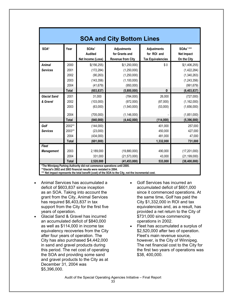| <b>SOA and City Bottom Lines</b>  |                                                      |                                                                                                              |                                                                                          |                                                               |                                                                                             |  |
|-----------------------------------|------------------------------------------------------|--------------------------------------------------------------------------------------------------------------|------------------------------------------------------------------------------------------|---------------------------------------------------------------|---------------------------------------------------------------------------------------------|--|
| SOA*                              | Year                                                 | SOAs'<br><b>Audited</b><br>Net Income (Loss)                                                                 | <b>Adjustments</b><br>for Grants and<br><b>Revenue from City</b>                         | <b>Adjustments</b><br>for ROI and<br><b>Tax Equivalencies</b> | <b>SOAs'***</b><br><b>Net Impact</b><br>On the City                                         |  |
| <b>Animal</b><br><b>Services</b>  | 2000<br>2001<br>2002<br>2003<br>2004<br><b>Total</b> | \$(156, 255)<br>(172, 284)<br>(90, 263)<br>(143, 356)<br>(41, 679)<br>(603, 837)                             | \$(1,250,000)<br>(1,250,000)<br>(1,250,000)<br>(1, 100, 000)<br>(950,000)<br>(5,800,000) | \$0<br>$\mathbf 0$                                            | \$(1,406,255)<br>(1,422,284)<br>(1,340,263)<br>(1, 243, 356)<br>(991, 679)<br>(6, 403, 837) |  |
| <b>Glacial Sand</b><br>& Gravel   | 2001<br>2002<br>2003<br>2004<br><b>Total</b>         | 31,000<br>(103,000)<br>(63,000)<br>(705,000)<br>(840,000)                                                    | (784,000)<br>(972,000)<br>(1,540,000)<br>(1, 146, 000)<br>(4, 442, 000)                  | 26,000<br>(87,000)<br>(53,000)<br>(114,000)                   | (727,000)<br>(1, 162, 000)<br>(1,656,000)<br>(1,851,000)<br>(5,396,000)                     |  |
| Golf<br><b>Services</b>           | 2002**<br>2003**<br>2004<br><b>Total</b>             | (144,000)<br>(23,000)<br>(434,000)<br>(601,000)                                                              |                                                                                          | 401,000<br>450,000<br>481,000<br>1,332,000                    | 257,000<br>427,000<br>47,000<br>731,000                                                     |  |
| <b>Fleet</b><br><b>Management</b> | 2003<br>2004<br><b>Total</b>                         | 2,189,000<br>331.000<br>2,520,000<br>*The Winnipeg Parking Authority did not commence operations until 2005. | (19,880,000)<br>(21, 573, 000)<br>(41, 453, 000)                                         | 490,000<br>43,000<br>533,000                                  | (17, 201, 000)<br>(21, 199, 000)<br>(38, 400, 000)                                          |  |

**\*\*Glacial's 2002 and 2003 financial results were restated in 2004.** 

\*\*\* Net impact represents the total benefit (cost) of the SOA to the City, not the incremental cost.

- Animal Services has accumulated a deficit of \$603,837 since inception as an SOA. Taking into account the grant from the City, Animal Services has required \$6,403,837 in tax support from the City for the first five years of operation.
- Glacial Sand & Gravel has incurred an accumulated deficit of \$840,000 as well as \$114,000 in income tax equivalency recoveries from the City after four years of operation. The City has also purchased \$4,442,000 in sand and gravel products during this period. The net cost of operating the SOA and providing some sand and gravel products to the City as at December 31, 2004 was \$5,396,000.
- Golf Services has incurred an accumulated deficit of \$601,000 since it commenced operations. At the same time, Golf has paid the City \$1,332,000 in ROI and tax equivalencies and, as a result, has provided a net return to the City of \$731,000 since commencing operations in 2002.
- Fleet has accumulated a surplus of \$2,520,000 after two of operation. Fleet's main revenue source, however, is the City of Winnipeg. The net financial cost to the City for the first two years of operations was \$38, 400,000.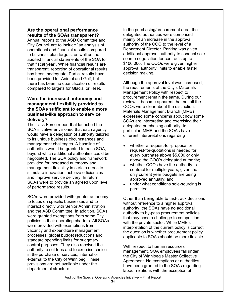#### **Are the operational performance results of the SOAs transparent?**

Annual reports to the ASD Committee and City Council are to include "an analysis of operational and financial results compared to business plan targets, as well as the audited financial statements of the SOA for that fiscal year". While financial results are transparent, reporting of operational results has been inadequate. Partial results have been provided for Animal and Golf, but there has been no quantification of results compared to targets for Glacial or Fleet.

#### **Were the increased autonomy and management flexibility provided to the SOAs sufficient to enable a more business-like approach to service delivery?**

The Task Force report that launched the SOA initiative envisioned that each agency would have a delegation of authority tailored to its unique business circumstances and management challenges. A baseline of authorities would be granted to each SOA, beyond which additional authorities could be negotiated. The SOA policy and framework provided for increased autonomy and management flexibility in certain areas to stimulate innovation, achieve efficiencies and improve service delivery. In return, SOAs were to provide an agreed upon level of performance results.

SOAs were provided with greater autonomy to focus on specific businesses and to interact directly with Senior Administration and the ASD Committee. In addition, SOAs were granted exemptions from some City policies in their operating charters. All SOAs were provided with exemptions from vacancy and expenditure management processes, global budget reductions and standard spending limits for budgetary control purposes. They also received the authority to set fees and to exercise choice in the purchase of services, internal or external to the City of Winnipeg. These provisions are not available under the departmental structure.

In the purchasing/procurement area, the delegated authorities were comprised mainly of an increase in the approval authority of the COO to the level of a Department Director. Parking was given additional approval authority to conduct sole source negotiation for contracts up to \$100,000. The COOs were given higher approval authority limits to enable faster decision making.

Although the approval level was increased, the requirements of the City's Materials Management Policy with respect to procurement remain the same. During our review, it became apparent that not all the COOs were clear about the distinction. Materials Management Branch (MMB) expressed some concerns about how some SOAs are interpreting and exercising their delegated purchasing authority. In particular, MMB and the SOAs have different interpretations regarding

- whether a request-for-proposal or request-for-quotations is needed for every purchase above \$5,000 or only above the COO's delegated authority;
- whether COOs have the authority to contract for multiple years, given that only current year budgets are being approved annually; and
- under what conditions sole-sourcing is permitted.

Other than being able to fast-track decisions without reference to a higher approval authority, the SOAs have no additional authority to by-pass procurement policies that may pose a challenge to competition with the private sector. While MMB's interpretation of the current policy is correct, the question is whether procurement policy applicable to SOAs should be more flexible.

With respect to human resources management, SOA employees fall under the City of Winnipeg's Master Collective Agreement. No exemptions or authorities have been granted to the SOAs regarding labour relations with the exception of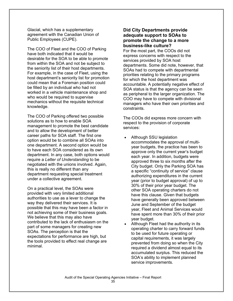Glacial, which has a supplementary agreement with the Canadian Union of Public Employees (CUPE).

The COO of Fleet and the COO of Parking have both indicated that it would be desirable for the SOA to be able to promote from within the SOA and not be subject to the seniority list of their host departments. For example, in the case of Fleet, using the host department's seniority list for promotion could mean that a Foreman position could be filled by an individual who had not worked in a vehicle maintenance shop and who would be required to supervise mechanics without the requisite technical knowledge.

The COO of Parking offered two possible solutions as to how to enable SOA management to promote the best candidate and to allow the development of better career paths for SOA staff. The first one option would be to combine all SOAs into one department. A second option would be to have each SOA considered as its own department. In any case, both options would require a *Letter of Understanding* to be negotiated with the unions involved. Again, this is really no different than any department requesting special treatment under a collective agreement.

On a practical level, the SOAs were provided with very limited additional authorities to use as a lever to change the way they delivered their services. It is possible that this may have been a factor in not achieving some of their business goals. We believe that this may also have contributed to the lack of enthusiasm on the part of some managers for creating new SOAs. The perception is that the expectations for performance are high, but the tools provided to effect real change are minimal.

#### **Did City Departments provide adequate support to SOAs to promote the change to a more business-like culture?**

For the most part, the COOs did not express concerns with respect to the services provided by SOA host departments. Some did note, however, that SOAs had to compete with departmental priorities relating to the primary programs for which the host department was accountable. A potentially negative effect of SOA status is that the agency can be seen as peripheral to the larger organization. The COO may have to compete with divisional managers who have their own priorities and constraints.

The COOs did express more concern with respect to the provision of corporate services:

- Although SSU legislation accommodates the approval of multiyear budgets, the practice has been to approve only the current year's budget each year. In addition, budgets were approved three to six months after the City budget. Only the Parking SOA has a specific "continuity of service" clause authorizing expenditures in the current year (prior to budget approval) of up to 30% of their prior year budget. The other SOA operating charters do not have this clause. Given that budgets have generally been approved between June and September of the budget year, Fleet and Animal Services would have spent more than 30% of their prior year budget.
- Although Fleet had the authority in its operating charter to carry forward funds to be used for future operating or capital requirements, it was largely prevented from doing so when the City required a dividend almost equal to its accumulated surplus. This reduced the SOA's ability to implement planned service improvements.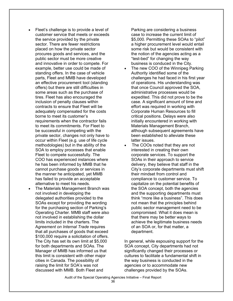- Fleet's challenge is to provide a level of customer service that meets or exceeds the service provided by the private sector. There are fewer restrictions placed on how the private sector procures goods and services, and the public sector must be more creative and innovative in order to compete. For example, better use could be made of standing offers. In the case of vehicle parts, Fleet and MMB have developed an effective procurement tool (standing offers) but there are still difficulties in some areas such as the purchase of tires. Fleet has also encouraged the inclusion of penalty clauses within contracts to ensure that Fleet will be adequately compensated for the costs borne to meet its customer's requirements when the contractor fails to meet its commitments. For Fleet to be successful in competing with the private sector, changes not only have to occur within Fleet (e.g. use of life cycle methodologies) but in the ability of the SOA to employ processes that enable Fleet to compete successfully. The COO has experienced instances where he has been informed by MMB that he cannot purchase goods or services in the manner he anticipated, yet MMB has failed to provide an acceptable alternative to meet his needs.
- The Materials Management Branch was not involved in developing the delegated authorities provided to the SOAs except for providing the wording for the purchasing section of Parking's Operating Charter. MMB staff were also not involved in establishing the dollar limits included in the charters. The A*greement on Internal Trade* requires that all purchases of goods that exceed \$100,000 require a solicitation of offers. The City has set its own limit at \$5,000 for both departments and SOAs. The Manager of MMB has informed us that this limit is consistent with other major cities in Canada. The possibility of raising the limit for SOA's was not discussed with MMB. Both Fleet and

Parking are considering a business case to increase the current limit of \$5,000. Permitting these SOAs to "pilot" a higher procurement level would entail some risk but would be consistent with the notion of the agencies acting as a "test-bed" for changing the way business is conduced in the City.

- The new COO of the Winnipeg Parking Authority identified some of the challenges he had faced in his first year of operations. His understanding was that once Council approved the SOA, administrative processes would be expedited. This did not prove to be the case. A significant amount of time and effort was required in working with Corporate Human Resources to fill critical positions. Delays were also initially encountered in working with Materials Management Branch, although subsequent agreements have been established to alleviate these latter issues.
- The COOs noted that they are not interested in creating their own corporate services. To support the SOAs in their approach to service delivery, they believe that staff in the City's corporate departments must shift their mindset from control and compliance to customer service. To capitalize on the potential benefits of the SOA concept, both the agencies and the supporting departments must think "more like a business". This does not mean that the principles behind public sector management need to be compromised. What it does mean is that there may be better ways to achieve the legitimate business needs of an SOA or, for that matter, a department.

In general, while espousing support for the SOA concept, City departments had not significantly changed their processes or cultures to facilitate a fundamental shift in the way business is conducted in the agencies or to accommodate new challenges provided by the SOAs.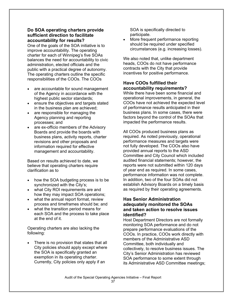#### **Do SOA operating charters provide sufficient direction to facilitate accountability for results?**

One of the goals of the SOA initiative is to improve accountability. The operating charter for each of Winnipeg's five SOAs balances the need for accountability to civic administration, elected officials and the public with a practical degree of autonomy. The operating charters outline the specific responsibilities of the COOs. The COOs

- are accountable for sound management of the Agency in accordance with the highest public sector standards;
- ensure the objectives and targets stated in the business plan are achieved;
- are responsible for managing the Agency planning and reporting processes; and
- are ex-officio members of the Advisory Boards and provide the boards with business plans, activity reports, charter revisions and other proposals and information required for effective management and accountability.

Based on results achieved to date, we believe that operating charters require clarification as to

- how the SOA budgeting process is to be synchronized with the City's;
- what City ROI requirements are and how they may impact SOA operations;
- what the annual report format, review process and timeframes should be; and
- what the transition period means for each SOA and the process to take place at the end of it.

Operating charters are also lacking the following:

There is no provision that states that all City policies should apply except where the SOA is specifically granted an exemption in its operating charter. Currently, City policies only apply if an

SOA is specifically directed to participate.

• More frequent performance reporting should be required under specified circumstances (e.g. increasing losses).

We also noted that, unlike department heads, COOs do not have performance contracts with the City that provide incentives for positive performance.

#### **Have COOs fulfilled their accountability requirements?**

While there have been some financial and operational improvements, in general, the COOs have not achieved the expected level of performance results anticipated in their business plans. In some cases, there were factors beyond the control of the SOAs that impacted the performance results.

All COOs produced business plans as required. As noted previously, operational performance measures and targets were not fully developed. The COOs also have provided annual reports to the ASD Committee and City Council which included audited financial statements; however, the reports were not submitted within 120 days of year end as required. In some cases, performance information was not complete. In addition, two of the four SOAs did not establish Advisory Boards on a timely basis as required by their operating agreements.

#### **Has Senior Administration adequately monitored the SOAs and taken action to resolve issues identified?**

Host Department Directors are not formally monitoring SOA performance and do not prepare performance evaluations of the COOs. In practice, COOs work directly with members of the Administrative ASD Committee, both individually and collectively, to resolve business issues. The City's Senior Administration has reviewed SOA performance to some extent through its Administrative ASD Committee meetings;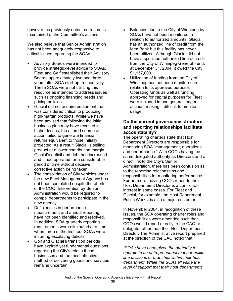however, as previously noted, no record is maintained of the Committee's actions.

We also believe that Senior Administration has not been adequately responsive to critical issues regarding the SOAs:

- Advisory Boards were intended to provide strategic-level advice to SOAs. Fleet and Golf established their Advisory Boards approximately two and three years after SOA start-up, respectively. These SOAs were not utilizing this resource as intended to address issues such as ongoing financing needs and pricing policies.
- Glacial did not acquire equipment that was considered critical to producing high-margin products. While we have been advised that following the initial business plan may have resulted in higher losses, the altered course of action failed to generate financial returns equivalent to those initially projected. As a result Glacial is selling product at a lower contribution margin. Glacial's deficit and debt had increased and it had operated for a considerable period of time without decisive corrective action being taken.
- The consolidation of City vehicles under the new Fleet Management Agency has not been completed despite the efforts of the COO. Intervention by Senior Administration would be required to compel departments to participate in the new agency.
- Deficiencies in performance measurement and annual reporting have not been identified and resolved. In addition, SOA quarterly reporting requirements were eliminated at a time when three of the first four SOAs were incurring escalating deficits.
- Golf and Glacial's transition periods have expired yet fundamental questions regarding the City's role in these businesses and the most effective method of delivering goods and services remains uncertain.
- Balances due to the City of Winnipeg by SOAs have not been monitored in relation to authorized amounts. Glacial has an authorized line of credit from the Idea Bank but this facility has never been utilized. Although Glacial did not have a specified authorized line of credit from the City of Winnipeg General Fund, at December 31, 2004, it owed the City \$1,157,000.
- Utilization of funding from the City of Winnipeg has not been monitored in relation to its approved purpose. Operating funds as well as funding approved for capital purposes for Fleet were included in one general ledger account making it difficult to monitor usage.

#### **Do the current governance structure and reporting relationships facilitate accountability?**

The operating charters state that Host Department Directors are responsible for monitoring SOA "management, operations and performance." With COOs having the same delegated authority as Directors and a direct link to the City's Senior Administration, there has been confusion as to the reporting relationships and responsibilities for monitoring performance. Furthermore, having COOs report to their Host Department Director is a conflict-ofinterest in some cases. For Fleet and Glacial, for example, the Host Department, Public Works, is also a major customer.

In November 2004, in recognition of these issues, the SOA operating charter roles and responsibilities were amended such that COOs would report directly to the CAO or delegate rather than their Host Department Director. The Administrative report prepared at the direction of the CAO noted that

*"SOAs have been given the authority to operate in an entrepreneurial manner unlike line divisions or branches within their host department. While the SOAs all value the level of support that their host departments*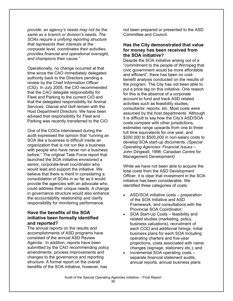*provide, an agency's needs may not be the same as a branch or division's needs. The SOAs require a unifying reporting structure that represents their interests at the corporate level, coordinates their activities, provides financial and operational oversight, and champions their cause."* 

Operationally, no change occurred at that time since the CAO immediately delegated authority back to the Directors pending a review by the Chief Information Officer (CIO). In July 2005, the CIO recommended that the CAO delegate responsibility for Fleet and Parking to the current CIO and that the delegated responsibility for Animal Services, Glacial and Golf remain with the Host Department Directors. We have been advised that responsibility for Fleet and Parking was recently transferred to the CIO.

One of the COOs interviewed during the audit expressed the opinion that "running an SOA like a business is difficult inside an organization that is not run like a business with people who have never run a business before." The original Task Force report that launched the SOA initiative envisioned a senior, corporate-level coordinator who would lead and support the initiative. We believe that there is merit in considering a consolidation of SOAs in so far as it would provide the agencies with an advocate who could address their unique needs. A change in governance structure would also enhance the accountability relationship and clarify responsibility for monitoring performance.

#### **Have the benefits of the SOA initiative been formally identified and reported?**

The annual reports on the results and accomplishments of ASD programs have consisted of the annual ASD Review Agenda. In addition, reports have been submitted by the CAO recommending policy amendments, process improvements and changes to the governance and reporting structure. A formal report on the overall benefits of the SOA initiative, however, has

not been prepared or presented to the ASD Committee and Council.

#### **Has the City demonstrated that value for money has been received from the SOA initiative?**

Despite the SOA initiative arising out of a "commitment to the people of Winnipeg that civic government would be more affordable and efficient", there has been no costbenefit analysis conducted on the results of the program. The City has not been able to put a price tag on this initiative. One reason for this is the absence of a corporate account to fund and track ASD related activities such as feasibility studies, consultants' reports, etc. Most costs were assumed by the host departments. Although it is difficult to say how the City's ASD/SOA costs compare with other jurisdictions, estimates range upwards from one to three full time equivalents for one year, and \$200,000 to \$500,000 in non-salary costs to develop SOA start-up documents. *(Special Operating Agencies: Financial Issues –*  John Dingwall, 1996; Canadian Centre for Management Development*)*

While we have not been able to acquire the total costs from the ASD Development Officer, it is clear that investment in the SOA initiative has been considerable. We identified three categories of costs:

- ASD/SOA initiative costs preparation of the SOA Initiative and ASD Framework, and consultations with the Provincial SOA Coordinator;
- SOA Start-Up Costs feasibility and related studies (marketing, policy, business valuations), recruitment of each COO and additional hirings; initial business plans for each SOA including operating charters and five-year projections, costs associated with name changes (signage, stationery etc.); and
- Incremental SOA operating costs separate financial statement audits, annual reports, annual business plans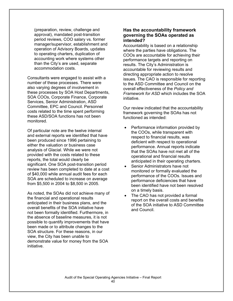(preparation, review, challenge and approval), mandated post-transition period reviews, COO salary vs. former manager/supervisor, establishment and operation of Advisory Boards, updates to operating charters, duplication of accounting work where systems other than the City's are used, separate accommodation costs.

Consultants were engaged to assist with a number of these processes. There were also varying degrees of involvement in these processes by SOA Host Departments, SOA COOs, Corporate Finance, Corporate Services, Senior Administration, ASD Committee, EPC and Council. Personnel costs related to the time spent performing these ASD/SOA functions has not been monitored.

Of particular note are the twelve internal and external reports we identified that have been produced since 1996 pertaining to either the valuation or business case analysis of Glacial. While we were not provided with the costs related to these reports, the total would clearly be significant. One SOA post-transition period review has been completed to date at a cost of \$40,000 while annual audit fees for each SOA are scheduled to increase on average from \$5,500 in 2004 to \$8,500 in 2005.

As noted, the SOAs did not achieve many of the financial and operational results anticipated in their business plans, and the overall benefits of the SOA initiative have not been formally identified. Furthermore, in the absence of baseline measures, it is not possible to quantify improvements that have been made or to attribute changes to the SOA structure. For these reasons, in our view, the City has been unable to demonstrate value for money from the SOA initiative.

#### **Has the accountability framework governing the SOAs operated as intended?**

Accountability is based on a relationship where the parties have obligations. The COOs are accountable for achieving their performance targets and reporting on results. The City's Administration is accountable for reviewing results and directing appropriate action to resolve issues. The CAO is responsible for reporting to the ASD Committee and Council on the overall effectiveness of the *Policy and Framework for ASD* which includes the SOA initiative.

Our review indicated that the accountability framework governing the SOAs has not functioned as intended:

- Performance information provided by the COOs, while transparent with respect to financial results, was deficient with respect to operational performance. Annual reports indicate that the SOAs have not met all of the operational and financial results anticipated in their operating charters.
- Senior Administrators have not monitored or formally evaluated the performance of the COOs. Issues and performance deficiencies that have been identified have not been resolved on a timely basis.
- The CAO has not provided a formal report on the overall costs and benefits of the SOA initiative to ASD Committee and Council.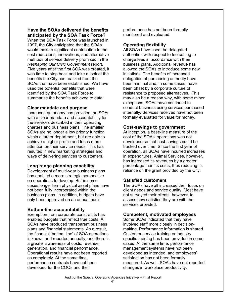#### **Have the SOAs delivered the benefits anticipated by the SOA Task Force?**

When the SOA Task Force was launched in 1997, the City anticipated that the SOAs would make a significant contribution to the cost reductions, innovations, and alternative methods of service delivery promised in the *Reshaping Our Civic Government* report. Five years after the first SOA was created, it was time to step back and take a look at the benefits the City has realized from the SOAs that have been established. We have used the potential benefits that were identified by the SOA Task Force to summarize the benefits achieved to date:

#### **Clear mandate and purpose**

Increased autonomy has provided the SOAs with a clear mandate and accountability for the services described in their operating charters and business plans. The smaller SOAs are no longer a low priority function within a larger department, but are able to achieve a higher profile and focus more attention on their service needs. This has resulted in new marketing strategies and ways of delivering services to customers.

#### **Long range planning capability**

Development of multi-year business plans has enabled a more strategic perspective on operations to develop. But in some cases longer term physical asset plans have not been fully incorporated within the business plans. In addition, budgets have only been approved on an annual basis.

#### **Bottom-line accountability**

Exemption from corporate constraints has enabled budgets that reflect true costs. All SOAs have produced transparent business plans and financial statements. As a result, the financial 'bottom line' of SOA operations is known and reported annually, and there is a greater awareness of costs, revenue generation, and financial performance. Operational results have not been reported as completely. At the same time, performance contracts have not been developed for the COOs and their

performance has not been formally monitored and evaluated.

#### **Operating flexibility**

All SOAs have used the delegated authorities with respect to fee setting to charge fees in accordance with their business plans. Additional revenue has allowed the SOAs to introduce some new initiatives. The benefits of increased delegation of purchasing authority have been minimal and, in some cases, have been offset by a corporate culture of resistance to proposed alternatives. This may also be a reason why, with some minor exceptions, SOAs have continued to conduct business using services purchased internally. Services received have not been formally evaluated for value for money.

#### **Cost-savings to government**

At inception, a base-line measure of the cost of the SOAs' operations was not developed so that cost-savings could be tracked over time. Since the first year of operation, all SOAs have incurred increases in expenditures. Animal Services, however, has increased its revenues by a greater percentage than its costs, thus reducing its reliance on the grant provided by the City.

#### **Satisfied customers**

The SOAs have all increased their focus on client needs and service quality. Most have not surveyed their clients, however, to assess how satisfied they are with the services provided.

#### **Competent, motivated employees**

Some SOAs indicated that they have involved staff more closely in decisionmaking. Performance information is shared. Customer service training or industry specific training has been provided in some cases. At the same time, performance management systems have not been developed as intended, and employees' satisfaction has not been formally measured. As well, SOAs have not reported changes in workplace productivity.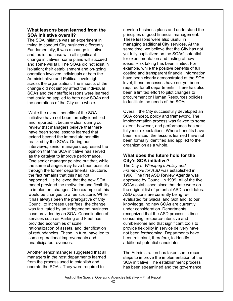#### **What lessons been learned from the SOA initiative overall?**

The SOA initiative was an experiment in trying to conduct City business differently. Fundamentally, it was a change initiative and, as is the case with all significant change initiatives, some plans will succeed and some will fail. The SOAs did not exist in isolation; their establishment and on-going operation involved individuals at both the Administrative and Political levels right across the organization. The impacts of the change did not simply affect the individual SOAs and their staffs; lessons were learned that could be applied to both new SOAs and the operations of the City as a whole.

While the overall benefits of the SOA initiative have not been formally identified and reported, it became clear during our review that managers believe that there have been some lessons learned that extend beyond the immediate benefits realized by the SOAs. During our interviews, senior managers expressed the opinion that the SOA initiative has served as the catalyst to improve performance. One senior manager pointed out that, while the same changes may have been possible through the former departmental structure, the fact remains that this had not happened. He believed that the new SOA model provided the motivation and flexibility to implement changes. One example of this would be changes to a fee structure. While it has always been the prerogative of City Council to increase user fees, the change was facilitated by an independent business case provided by an SOA. Consolidation of services such as Parking and Fleet has provided economies of scale, rationalization of assets, and identification of redundancies. These, in turn, have led to some operational improvements and unanticipated revenues.

Another senior manager suggested that all managers in the host departments learned from the process used to establish and operate the SOAs. They were required to

develop business plans and understand the principles of good financial management. These lessons were also useful in managing traditional City services. At the same time, we believe that the City has not yet fully capitalized on the SOAs' potential for experimentation and testing of new ideas. Risk taking has been limited. For example, while the positive benefits of full costing and transparent financial information have been clearly demonstrated at the SOA level, these processes have not yet been required for all departments. There has also been a limited effort to pilot changes to procurement or Human Resources policies to facilitate the needs of the SOAs.

Overall, the City successfully developed an SOA concept, policy and framework. The implementation process was flawed to some extent, however, and performance has not fully met expectations. Where benefits have been realized, the lessons learned have not been formally identified and applied to the organization as a whole.

#### **What does the future hold for the City's SOA initiative?**

The City of *Winnipeg's Policy and Framework for ASD* was established in 1998. The first ASD Review Agenda was approved by Council in 1999. All of the five SOAs established since that date were on the original list of potential ASD candidates. ASD options are currently being reevaluated for Glacial and Golf and, to our knowledge, no new SOAs are currently under consideration. Departments recognized that the ASD process is timeconsuming, resource-intensive and cumbersome and that significant tools to provide flexibility in service delivery have not been forthcoming. Departments have been reluctant, therefore, to identify additional potential candidates.

The Administration has taken some recent steps to improve the implementation of the SOA initiative. The establishment process has been streamlined and the governance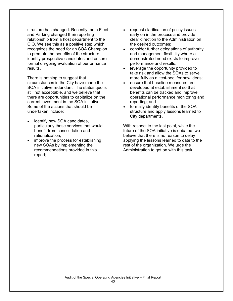structure has changed. Recently, both Fleet and Parking changed their reporting relationship from a host department to the CIO. We see this as a positive step which recognizes the need for an SOA Champion to promote the benefits of the structure, identify prospective candidates and ensure formal on-going evaluation of performance results.

There is nothing to suggest that circumstances in the City have made the SOA initiative redundant. The status quo is still not acceptable, and we believe that there are opportunities to capitalize on the current investment in the SOA initiative. Some of the actions that should be undertaken include:

- identify new SOA candidates, particularly those services that would benefit from consolidation and rationalization;
- improve the process for establishing new SOAs by implementing the recommendations provided in this report;
- request clarification of policy issues early on in the process and provide clear direction to the Administration on the desired outcomes;
- consider further delegations of authority and management flexibility where a demonstrated need exists to improve performance and results;
- leverage the opportunity provided to take risk and allow the SOAs to serve more fully as a 'test-bed' for new ideas;
- ensure that baseline measures are developed at establishment so that benefits can be tracked and improve operational performance monitoring and reporting; and
- formally identify benefits of the SOA structure and apply lessons learned to City departments.

With respect to the last point, while the future of the SOA initiative is debated, we believe that there is no reason to delay applying the lessons learned to date to the rest of the organization. We urge the Administration to get on with this task.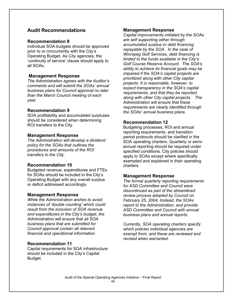### **Audit Recommendations**

#### **Recommendation 8**

Individual SOA budgets should be approved prior to or concurrently with the City's Operating Budget. As City agencies, the 'continuity of service' clause should apply to all SOAs.

#### **Management Response**

*The Administration agrees with the Auditor's comments and will submit the SOAs' annual business plans for Council approval no later than the March Council meeting of each year.* 

#### **Recommendation 9**

SOA profitability and accumulated surpluses should be considered when determining ROI transfers to the City.

#### **Management Response**

*The Administration will develop a dividend policy for the SOAs that outlines the procedures and amounts of the ROI transfers to the City.* 

#### **Recommendation 10**

Budgeted revenue, expenditures and FTEs for SOAs should be included in the City's Operating Budget with any overall surplus or deficit addressed accordingly.

#### **Management Response**

*While the Administration wishes to avoid instances of 'double counting' which could result from the inclusion of SOA revenue and expenditures in the City's budget, the Administration will ensure that all SOA business plans that are submitted for Council approval contain all relevant financial and operational information.* 

#### **Recommendation 11**

Capital requirements for SOA infrastructure should be included in the City's Capital Budget.

#### **Management Response**

*Capital improvements initiated by the SOAs are self supporting either through accumulated surplus or debt financing repayable by the SOA. In the case of Winnipeg Golf Services, debt financing is limited to the funds available in the City's Golf Course Reserve Account. The SOA's ability to achieve its financial goals may be impaired if the SOA's capital projects are prioritized along with other City capital projects. It is reasonable, however, to expect transparency in the SOA's capital requirements, and that they be reported along with other City capital projects. The Administration will ensure that these requirements are clearly identified through the SOAs' annual business plans.* 

#### **Recommendation 12**

Budgeting processes, ROI and annual reporting requirements, and transition period protocols should be clarified in the SOA operating charters. Quarterly or semiannual reporting should be required under specified conditions. City policies should apply to SOAs except where specifically exempted and explained in their operating charters.

#### **Management Response**

*The formal quarterly reporting requirements for ASD Committee and Council were discontinued as part of the streamlined review process adopted by Council on February 25, 2004. Instead, the SOAs report to the Administration, and provide ASD Committee and Council with annual business plans and annual reports.* 

*Currently, SOA operating charters specify which policies individual agencies are exempt from, and these are reviewed and revised when warranted.*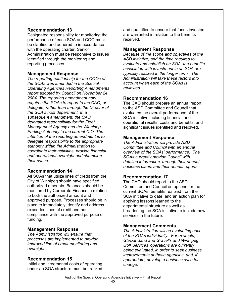#### **Recommendation 13**

Designated responsibility for monitoring the performance of each SOA and COO must be clarified and adhered to in accordance with the operating charter. Senior Administration must be responsive to issues identified through the monitoring and reporting processes.

#### **Management Response**

*The reporting relationship for the COOs of the SOAs was amended in the Special Operating Agencies Reporting Amendments report adopted by Council on November 24, 2004. The reporting amendment now requires the SOAs to report to the CAO, or delegate, rather than through the Director of the SOA's host department. In a subsequent amendment, the CAO delegated responsibility for the Fleet Management Agency and the Winnipeg Parking Authority to the current CIO. The intention of the reporting amendment is to delegate responsibility to the appropriate authority within the Administration to coordinate their activities, provide financial and operational oversight and champion their cause.* 

#### **Recommendation 14**

All SOAs that utilize lines of credit from the City of Winnipeg should have specified authorized amounts. Balances should be monitored by Corporate Finance in relation to both the authorized amount and approved purpose. Processes should be in place to immediately identify and address exceeded lines of credit and noncompliance with the approved purpose of funding.

#### **Management Response**

*The Administration will ensure that processes are implemented to provide improved line of credit monitoring and oversight.* 

#### **Recommendation 15**

Initial and incremental costs of operating under an SOA structure must be tracked and quantified to ensure that funds invested are warranted in relation to the benefits received.

#### **Management Response**

*Because of the scope and objectives of the ASD initiative, and the time required to evaluate and establish an SOA, the benefits associated with investment in an SOA are typically realized in the longer term. The Administration will take these factors into account when each of the SOAs is reviewed.* 

#### **Recommendation 16**

The CAO should prepare an annual report to the ASD Committee and Council that evaluates the overall performance of the SOA initiative including financial and operational results, costs and benefits, and significant issues identified and resolved.

#### **Management Response**

*The Administration will provide ASD Committee and Council with an annual overview of the SOAs' performance. The SOAs currently provide Council with detailed information, through their annual business plans, and their annual reports.* 

#### **Recommendation 17**

The CAO should report to the ASD Committee and Council on options for the current SOAs, benefits realized from the SOA initiative to date, and an action plan for applying lessons learned to the departmental structure as well as broadening the SOA initiative to include new services in the future.

#### **Management Comments**

*The Administration will be evaluating each of the SOAs individually. For example, Glacial Sand and Gravel's and Winnipeg Golf Services' operations are currently being evaluated, in order to seek business improvements at these agencies, and, if appropriate, develop a business case for change.*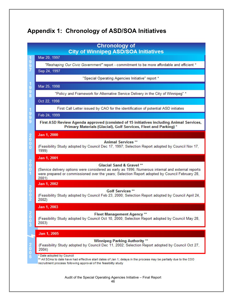# **Appendix 1: Chronology of ASD/SOA Initiatives**

|                                 | <b>Chronology of</b><br><b>City of Winnipeg ASD/SOA Initiatives</b>                                                                                                                                                                      |
|---------------------------------|------------------------------------------------------------------------------------------------------------------------------------------------------------------------------------------------------------------------------------------|
|                                 | Mar 20, 1997                                                                                                                                                                                                                             |
|                                 | "Reshaping Our Civic Government" report - commitment to be more affordable and efficient *                                                                                                                                               |
| 9<br>7                          | Sep 24, 1997                                                                                                                                                                                                                             |
|                                 | "Special Operating Agencies Initiative" report *                                                                                                                                                                                         |
|                                 |                                                                                                                                                                                                                                          |
| 1<br>9<br>9<br>8                | Mar 25, 1998                                                                                                                                                                                                                             |
|                                 | "Policy and Framework for Alternative Service Delivery in the City of Winnipeg" *                                                                                                                                                        |
|                                 | Oct 22, 1998                                                                                                                                                                                                                             |
| 1                               | First Call Letter issued by CAO for the identification of potential ASD initiates                                                                                                                                                        |
| 999                             | Feb 24, 1999                                                                                                                                                                                                                             |
|                                 | First ASD Review Agenda approved (consisted of 15 initiatives including Animal Services,<br>Primary Materials (Glacial), Golf Services, Fleet and Parking) *                                                                             |
|                                 | Jan 1, 2000                                                                                                                                                                                                                              |
| $\frac{2}{0}$                   | <b>Animal Services **</b>                                                                                                                                                                                                                |
| $\overline{0}$                  | (Feasibility Study adopted by Council Dec 17, 1997; Selection Report adopted by Council Nov 17,<br>1999)                                                                                                                                 |
|                                 | Jan 1, 2001                                                                                                                                                                                                                              |
| $\frac{2}{9}$                   | Glacial Sand & Gravel **<br>(Service delivery options were considered as early as 1996; Numerous internal and external reports<br>were prepared or commissioned over the years; Selection Report adopted by Council February 28,<br>2001 |
|                                 | Jan 1, 2002                                                                                                                                                                                                                              |
| $\frac{2}{0}$<br>$\overline{2}$ | <b>Golf Services</b> **<br>(Feasibility Study adopted by Council Feb 23, 2000; Selection Report adopted by Council April 24,<br>2002)                                                                                                    |
|                                 | Jan 1, 2003                                                                                                                                                                                                                              |
|                                 | <b>Fleet Management Agency **</b><br>(Feasibility Study adopted by Council Oct 10, 2000; Selection Report adopted by Council May 28,<br>2003)                                                                                            |
|                                 | Jan 1, 2005                                                                                                                                                                                                                              |
| $\frac{2}{0}$                   | <b>Winnipeg Parking Authority</b> **<br>(Feasibility Study adopted by Council Dec 11, 2002; Selection Report adopted by Council Oct 27,<br>2004)                                                                                         |
| $\frac{0}{5}$                   | * Date adopted by Council<br>** All SOAs to date have had effective start dates of Jan 1; delays in the process may be partially due to the COO<br>recruitment process following approval of the feasibility study                       |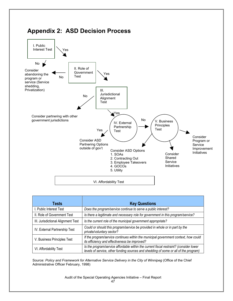

### **Appendix 2: ASD Decision Process**

| Tests                              | <b>Key Questions</b>                                                                                                                                                           |
|------------------------------------|--------------------------------------------------------------------------------------------------------------------------------------------------------------------------------|
| I. Public Interest Test            | Does the program/service continue to serve a public interest?                                                                                                                  |
| II. Role of Government Test        | Is there a legitimate and necessary role for government in this program/service?                                                                                               |
| III. Jurisdictional Alignment Test | Is the current role of the municipal government appropriate?                                                                                                                   |
| IV. External Partnership Test      | Could or should this program/service be provided in whole or in part by the<br>private/voluntary sector?                                                                       |
| V. Business Principles Test        | If the program/service continues within the municipal government context, how could<br>its efficiency and effectiveness be improved?                                           |
| VI. Affordability Test             | Is the program/service affordable within the current fiscal restraint? (consider lower<br>levels of service, other funding sources and shedding of some or all of the program) |

Source: Policy and Framework for Alternative Service Delivery in the City of Winnipeg (Office of the Chief Administrative Officer February, 1998)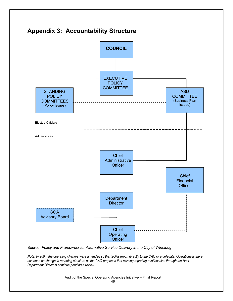# **Appendix 3: Accountability Structure**



Source: *Policy and Framework for Alternative Service Delivery in the City of Winnipeg* 

*Note: In 2004, the operating charters were amended so that SOAs report directly to the CAO or a delegate. Operationally there has been no change in reporting structure as the CAO proposed that existing reporting relationships through the Host Department Directors continue pending a review.*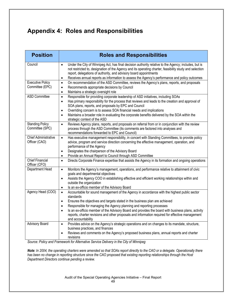# **Appendix 4: Roles and Responsibilities**

| <b>Position</b>                              | <b>Roles and Responsibilities</b>                                                                                                                                                                                                                                                                                                                                                                                                                                                                                                                   |
|----------------------------------------------|-----------------------------------------------------------------------------------------------------------------------------------------------------------------------------------------------------------------------------------------------------------------------------------------------------------------------------------------------------------------------------------------------------------------------------------------------------------------------------------------------------------------------------------------------------|
| Council                                      | Under the City of Winnipeg Act, has final decision authority relative to the Agency; includes, but is<br>$\bullet$<br>not restricted to, designation of the Agency and its operating charter, feasibility study and selection<br>report, delegations of authority, and advisory board appointments<br>Receives annual reports as information to assess the Agency's performance and policy outcomes<br>$\bullet$                                                                                                                                    |
| <b>Executive Policy</b><br>Committee (EPC)   | On recommendation of the ASD Committee, reviews the Agency's plans, reports, and proposals<br>$\bullet$<br>Recommends appropriate decisions by Council<br>$\bullet$<br>Maintains a strategic oversight role<br>$\bullet$                                                                                                                                                                                                                                                                                                                            |
| <b>ASD Committee</b>                         | Responsible for providing corporate leadership of ASD initiatives, including SOAs<br>$\bullet$<br>Has primary responsibility for the process that reviews and leads to the creation and approval of<br>$\bullet$<br>SOA plans, reports, and proposals by EPC and Council<br>Overriding concern is to assess SOA financial needs and implications<br>$\bullet$<br>Maintains a broader role in evaluating the corporate benefits delivered by the SOA within the<br>$\bullet$<br>strategic context of the ASD                                         |
| <b>Standing Policy</b><br>Committee (SPC)    | Reviews Agency plans, reports, and proposals on referral from or in conjunction with the review<br>$\bullet$<br>process through the ASD Committee (its comments are factored into analyses and<br>recommendations forwarded to EPC and Council)                                                                                                                                                                                                                                                                                                     |
| <b>Chief Administrative</b><br>Officer (CAO) | Has executive management responsibility, in concert with Standing Committees, to provide policy<br>$\bullet$<br>advice, program and service direction concerning the effective management, operation, and<br>performance of the Agency<br>Designates the chairperson of the Advisory Board<br>$\bullet$                                                                                                                                                                                                                                             |
| <b>Chief Financial</b><br>Officer (CFO)      | Provide an Annual Report to Council through ASD Committee<br>$\bullet$<br>Directs Corporate Finance expertise that assists the Agency in its formation and ongoing operations<br>$\bullet$                                                                                                                                                                                                                                                                                                                                                          |
| Department Head                              | Monitors the Agency's management, operations, and performance relative to attainment of civic<br>$\bullet$<br>goals and departmental objectives<br>Assists the Agency COO in establishing effective and efficient working relationships within and<br>$\bullet$<br>outside the organization<br>Is an ex-officio member of the Advisory Board<br>$\bullet$                                                                                                                                                                                           |
| Agency Head (COO)                            | Accountable for sound management of the Agency in accordance with the highest public sector<br>$\bullet$<br>standards<br>Ensures the objectives and targets stated in the business plan are achieved<br>$\bullet$<br>Responsible for managing the Agency planning and reporting processes<br>$\bullet$<br>Is an ex-officio member of the Advisory Board and provides the board with business plans, activity<br>$\bullet$<br>reports, charter revisions and other proposals and information required for effective management<br>and accountability |
| <b>Advisory Board</b><br>$D - U$             | Provides advice on the Agency's strategic operations and on changes to its mandate, structure,<br>$\bullet$<br>business practices, and finances<br>Reviews and comments on the Agency's proposed business plans, annual reports and charter<br>$\bullet$<br>revisions<br>1.1.1.11<br>Lating Opening Dalling<br>$\mathcal{L}$ , $\mathcal{L}$ , $\mathcal{L}$ , $\mathcal{L}$ , $\mathcal{L}$ , $\mathcal{L}$ , $\mathcal{L}$ , $\mathcal{L}$ , $\mathcal{L}$ , $\mathcal{L}$                                                                        |

*Source: Policy and Framework for Alternative Service Delivery in the City of Winnipeg* 

*Note: In 2004, the operating charters were amended so that SOAs report directly to the CAO or a delegate. Operationally there has been no change in reporting structure since the CAO proposed that existing reporting relationships through the Host Department Directors continue pending a review.*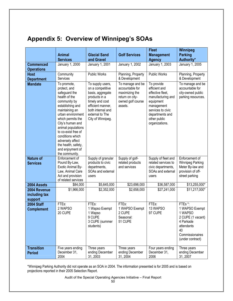# **Appendix 5: Overview of Winnipeg's SOAs**

|                                          |                                                                                                                                                                                                                                                                                                                                     |                                                                                                                                                                                |                                                                                                          | <b>Fleet</b>                                                                                                                                                              | <b>Winnipeg</b>                                                                                                                  |
|------------------------------------------|-------------------------------------------------------------------------------------------------------------------------------------------------------------------------------------------------------------------------------------------------------------------------------------------------------------------------------------|--------------------------------------------------------------------------------------------------------------------------------------------------------------------------------|----------------------------------------------------------------------------------------------------------|---------------------------------------------------------------------------------------------------------------------------------------------------------------------------|----------------------------------------------------------------------------------------------------------------------------------|
|                                          | <b>Animal</b><br><b>Services</b>                                                                                                                                                                                                                                                                                                    | <b>Glacial Sand</b><br>and Gravel                                                                                                                                              | <b>Golf Services</b>                                                                                     | <b>Management</b><br><b>Agency</b>                                                                                                                                        | <b>Parking</b><br>Authority*                                                                                                     |
| <b>Commenced</b>                         | January 1, 2000                                                                                                                                                                                                                                                                                                                     | January 1, 2001                                                                                                                                                                | January 1, 2002                                                                                          | January 1, 2003                                                                                                                                                           | January 1, 2005                                                                                                                  |
| <b>Operations</b>                        |                                                                                                                                                                                                                                                                                                                                     |                                                                                                                                                                                |                                                                                                          |                                                                                                                                                                           |                                                                                                                                  |
| <b>Host</b><br><b>Department</b>         | Community<br>Services                                                                                                                                                                                                                                                                                                               | <b>Public Works</b>                                                                                                                                                            | Planning, Property<br>& Development                                                                      | <b>Public Works</b>                                                                                                                                                       | Planning, Property<br>& Development                                                                                              |
| <b>Mandate</b>                           | To promote,<br>protect, and<br>safeguard the<br>health of the<br>community by<br>establishing and<br>maintaining an<br>urban environment<br>which permits the<br>City's human and<br>animal populations<br>to co-exist free of<br>conditions which<br>adversely affect<br>the health, safety,<br>and enjoyment of<br>the community. | To supply users,<br>on a competitive<br>basis, aggregate<br>products in a<br>timely and cost<br>efficient manner,<br>both internal and<br>external to The<br>City of Winnipeg. | To manage and be<br>accountable for<br>maximizing the<br>return on city-<br>owned golf course<br>assets. | To provide<br>efficient and<br>effective fleet,<br>manufacturing and<br>equipment<br>management<br>services to civic<br>departments and<br>other public<br>organizations. | To manage and be<br>accountable for<br>city-owned public<br>parking resources.                                                   |
| <b>Nature of</b><br><b>Services</b>      | Enforcement of<br>Pound By-Law,<br><b>Exotic Animal By-</b><br>Law, Animal Care<br>Act and provision<br>of related services                                                                                                                                                                                                         | Supply of granular<br>products to civic<br>departments,<br>SOAs and external<br>users                                                                                          | Supply of golf-<br>related products<br>and services                                                      | Supply of fleet and<br>related services to<br>civic departments,<br>SOAs and external<br>users                                                                            | Enforcement of<br>Winnipeg Parking<br>Meter By-law and<br>provision of off-<br>street parking                                    |
| 2004 Assets                              | \$84,000                                                                                                                                                                                                                                                                                                                            | \$5,645,000                                                                                                                                                                    | \$23,698,000                                                                                             | \$36,587,000                                                                                                                                                              | \$13,255,000*                                                                                                                    |
| 2004 Revenue<br>including tax<br>support | \$1,966,000                                                                                                                                                                                                                                                                                                                         | \$2,352,000                                                                                                                                                                    | \$2,658,000                                                                                              | \$27,241,000                                                                                                                                                              | \$11,217,000*                                                                                                                    |
| <b>2004 Staff</b><br><b>Complement</b>   | FTEs:<br>2 WAPSO<br>20 CUPE                                                                                                                                                                                                                                                                                                         | FTEs:<br>1 Wapso Exempt<br>1 Wapso<br>9 CUPE<br>3 CUPE (summer<br>students)                                                                                                    | FTEs:<br>1 WAPSO Exempt<br>2 CUPE<br>Seasonal:<br>51 CUPE                                                | FTEs:<br>13 WAPSO<br>97 CUPE                                                                                                                                              | FTEs*:<br>1 WAPSO Exempt<br>1 WAPSO<br>2 CUPE (1 vacant)<br>4 Parkade<br>attendants<br>40<br>Commissionaires<br>(under contract) |
| <b>Transition</b><br><b>Period</b>       | Five years ending<br>December 31,<br>2004                                                                                                                                                                                                                                                                                           | Three years<br>ending December<br>31, 2003                                                                                                                                     | Three years<br>ending December<br>31, 2004                                                               | Four years ending<br>December 31,<br>2006                                                                                                                                 | Three years<br>ending December<br>31, 2007                                                                                       |

\*Winnipeg Parking Authority did not operate as an SOA in 2004. The information presented is for 2005 and is based on projections reported in their 2005 Selection Report.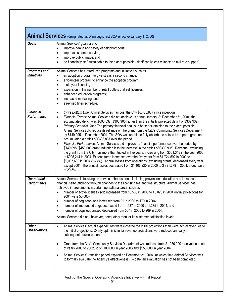|                                           | Animal Services (designated as Winnipeg's first SOA effective January 1, 2000)                                                                                                                                                                                                                                                                                                                                                                                                                                                                                                                                                                                                                                                                                                                                                                                                                                                                                                                                                                                                                                                                                                                                                                                                                                                                                                     |
|-------------------------------------------|------------------------------------------------------------------------------------------------------------------------------------------------------------------------------------------------------------------------------------------------------------------------------------------------------------------------------------------------------------------------------------------------------------------------------------------------------------------------------------------------------------------------------------------------------------------------------------------------------------------------------------------------------------------------------------------------------------------------------------------------------------------------------------------------------------------------------------------------------------------------------------------------------------------------------------------------------------------------------------------------------------------------------------------------------------------------------------------------------------------------------------------------------------------------------------------------------------------------------------------------------------------------------------------------------------------------------------------------------------------------------------|
| Goals                                     | Animal Services' goals are to<br>improve health and safety of neighborhoods;<br>$\bullet$<br>improve customer service;<br>$\bullet$<br>improve public image; and<br>$\bullet$<br>be financially self-sustainable to the extent possible (significantly less reliance on mill-rate support).<br>$\bullet$                                                                                                                                                                                                                                                                                                                                                                                                                                                                                                                                                                                                                                                                                                                                                                                                                                                                                                                                                                                                                                                                           |
| <b>Programs and</b><br><b>Initiatives</b> | Animal Services has introduced programs and initiatives such as<br>an adoption program to give strays a second chance;<br>$\bullet$<br>a volunteer program to enhance the adoption program;<br>$\bullet$<br>multi-year licensing;<br>$\bullet$<br>expansion in the number of retail outlets that sell licenses;<br>$\bullet$<br>enhanced education programs;<br>$\bullet$<br>increased marketing; and<br>$\bullet$<br>a revised fines schedule.<br>$\bullet$                                                                                                                                                                                                                                                                                                                                                                                                                                                                                                                                                                                                                                                                                                                                                                                                                                                                                                                       |
| Financial<br>Performance                  | City's Bottom Line: Animal Services has cost the City \$6,403,837 since inception.<br>$\bullet$<br>Financial Target: Animal Services did not achieve its annual targets. At December 31, 2004, the<br>$\bullet$<br>accumulated deficit was \$603,837 (\$300,905 higher than the initially projected deficit of \$302,932).<br>Primary Financial Goal: The primary financial goal is to be self-sustaining to the extent possible.<br>$\bullet$<br>Animal Services did reduce its reliance on the grant from the City's Community Services Department<br>by \$149,095 to December 2004. The SOA was unable to fully absorb the cuts to its support grant and<br>accumulated a deficit of \$603,837 over the period.<br>Financial Performance: Animal Services did improve its financial performance over the period by<br>$\bullet$<br>\$149,095 (\$450,000 grant reduction less the increase in the deficit of \$300,905). Revenue (excluding<br>the grant from the City) has more than tripled in five years, increasing from \$301,348 in the year 2000<br>to \$995,214 in 2004. Expenditures increased over the five years from \$1,724,592 in 2000 to<br>\$2,007,680 in 2004 (16.4%). Annual losses from operations (excluding grants) decreased every year<br>except 2001. The annual losses decreased from \$1,406,225 in 2000 to \$991,679 in 2004, a decrease<br>of 29.5%. |
| <b>Operational</b><br><b>Performance</b>  | Animal Services is focusing on service enhancements including prevention, education and increased<br>financial self-sufficiency through changes to the licensing fee and fine structure. Animal Services has<br>achieved improvements in certain operational areas such as<br>number of active licenses sold increased from 16,500 in 2000 to 40,023 in 2004 (initial projections for<br>$\bullet$<br>2004 were 50,000);<br>number of dog adoptions increased from 91 in 2000 to 179 in 2004;<br>$\bullet$<br>number of impounded dogs decreased from 1,487 in 2000 to 1,275 in 2004; and<br>$\bullet$<br>number of dogs euthanized decreased from 507 in 2000 to 269 in 2004.<br>$\bullet$<br>Animal Services did not, however, adequately monitor its customer satisfaction levels.                                                                                                                                                                                                                                                                                                                                                                                                                                                                                                                                                                                              |
| <b>Other</b><br><b>Observations</b>       | Animal Services' actual expenditures were closer to the initial projections than were actual revenues to<br>$\bullet$<br>the initial projections. Overly optimistic initial revenue projections were reduced annually in<br>subsequent business plans.<br>Grant from the City's Community Services Department was reduced from \$1,250,000 received in each<br>٠<br>of years 2000 to 2002, to \$1,100,000 in year 2003 and \$950,000 in year 2004.<br>Animal Services' transition period expired on December 31, 2004, at which time Animal Services was<br>to formally evaluate the Agency's effectiveness. To date, an evaluation has not been completed.                                                                                                                                                                                                                                                                                                                                                                                                                                                                                                                                                                                                                                                                                                                        |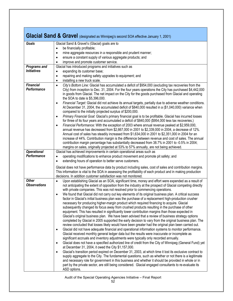|                                                                      | Glacial Sand & Gravel (designated as Winnipeg's second SOA effective January 1, 2001)                                                                                                                                                                                                                                                                                                                                                                                                                                                                                                                                                                                                                                                                                                                                                                                                                                                                                                                                                                                                                                                                                                                                                                                                                                                                                                                                                                                                                                                                                                                                                                                                                                                                                                                                                                                                                                                                                                                                                                                                                                                  |
|----------------------------------------------------------------------|----------------------------------------------------------------------------------------------------------------------------------------------------------------------------------------------------------------------------------------------------------------------------------------------------------------------------------------------------------------------------------------------------------------------------------------------------------------------------------------------------------------------------------------------------------------------------------------------------------------------------------------------------------------------------------------------------------------------------------------------------------------------------------------------------------------------------------------------------------------------------------------------------------------------------------------------------------------------------------------------------------------------------------------------------------------------------------------------------------------------------------------------------------------------------------------------------------------------------------------------------------------------------------------------------------------------------------------------------------------------------------------------------------------------------------------------------------------------------------------------------------------------------------------------------------------------------------------------------------------------------------------------------------------------------------------------------------------------------------------------------------------------------------------------------------------------------------------------------------------------------------------------------------------------------------------------------------------------------------------------------------------------------------------------------------------------------------------------------------------------------------------|
| Goals                                                                | Glacial Sand & Gravel's (Glacial) goals are to<br>be financially profitable;<br>$\bullet$<br>mine aggregate resources in a responsible and prudent manner;<br>$\bullet$<br>ensure a constant supply of various aggregate products; and<br>$\bullet$<br>improve and promote customer service.<br>$\bullet$                                                                                                                                                                                                                                                                                                                                                                                                                                                                                                                                                                                                                                                                                                                                                                                                                                                                                                                                                                                                                                                                                                                                                                                                                                                                                                                                                                                                                                                                                                                                                                                                                                                                                                                                                                                                                              |
| <b>Programs and</b><br><b>Initiatives</b>                            | Glacial has introduced programs and initiatives such as<br>expanding its customer base;<br>$\bullet$<br>repairing and making safety upgrades to equipment; and<br>$\bullet$<br>installing a new truck scale.<br>$\bullet$                                                                                                                                                                                                                                                                                                                                                                                                                                                                                                                                                                                                                                                                                                                                                                                                                                                                                                                                                                                                                                                                                                                                                                                                                                                                                                                                                                                                                                                                                                                                                                                                                                                                                                                                                                                                                                                                                                              |
| <b>Financial</b><br>Performance<br><b>Operational</b><br>Performance | City's Bottom Line: Glacial has accumulated a deficit of \$954,000 (excluding tax recoveries from the<br>$\bullet$<br>City) from inception to Dec. 31, 2004. For the four years operations the City has purchased \$4,442,000<br>in goods from Glacial. The net impact on the City for the goods purchased from Glacial and operating<br>the SOA to date is \$5,396,000.<br>Financial Target: Glacial did not achieve its annual targets, partially due to adverse weather conditions.<br>$\bullet$<br>At December 31, 2004, the accumulated deficit of \$840,000 resulted in a (\$1,040,000) variance when<br>compared to the initially projected surplus of \$200,000.<br>Primary Financial Goal: Glacial's primary financial goal is to be profitable. Glacial has incurred losses<br>$\bullet$<br>for three of its four years and accumulated a deficit of \$840,000 (\$954,000 less tax recoveries.)<br>Financial Performance: With the exception of 2003 where annual revenue peaked at \$2,959,000,<br>$\bullet$<br>annual revenue has decreased from \$2,667,000 in 2001 to \$2,339,000 in 2004, a decrease of 12%.<br>Annual cost of sales has steadily increased from \$1,634,000 in 2001 to \$2,351,000 in 2004 for an<br>increase of 44%. Contribution margin is the difference between revenue and cost of sales. The annual<br>contribution margin percentage has substantially decreased from 38.7% in 2001 to -0.5% in 2004;<br>margins on sales, originally projected at 53% to 57% annually, are not being achieved.<br>Glacial has achieved improvements in certain operational areas such as<br>operating modifications to enhance product movement and promote pit safety; and<br>$\bullet$<br>extending hours of operation to better serve customers.<br>$\bullet$                                                                                                                                                                                                                                                                                                                                               |
|                                                                      | Glacial does not have performance data by product including sales, cost of sales and contribution margins.<br>This information is vital to the SOA in assessing the profitability of each product and in making production<br>decisions. In addition customer satisfaction was not monitored.                                                                                                                                                                                                                                                                                                                                                                                                                                                                                                                                                                                                                                                                                                                                                                                                                                                                                                                                                                                                                                                                                                                                                                                                                                                                                                                                                                                                                                                                                                                                                                                                                                                                                                                                                                                                                                          |
| <b>Other</b><br><b>Observations</b>                                  | Upon establishing Glacial as an SOA, significant time, money and effort were expended as a result of<br>$\bullet$<br>not anticipating the extent of opposition from the industry at the prospect of Glacial competing directly<br>with private companies. This was not resolved prior to commencing operations.<br>We found that Glacial did not carry out key elements of its original business plan. A critical success<br>$\bullet$<br>factor in Glacial's initial business plan was the purchase of a replacement high-production crusher<br>necessary for producing higher-margin product which required financing to acquire. Glacial<br>subsequently changed its focus away from crushed products resulting in the purchase of other<br>equipment. This has resulted in significantly lower contribution margins than those expected in<br>Glacial's original business plan. We have been advised that a review of business strategy options<br>completed by Glacial in 2005 supported the early decision to vary from the original business plan. The<br>review concluded that losses likely would have been greater had the original plan been carried out.<br>Glacial did not have adequate financial and operational information systems to monitor performance.<br>$\bullet$<br>Glacial received monthly general ledger data but the results were inaccurate or incomplete as<br>significant accruals and inventory adjustments were typically only recorded annually.<br>Glacial does not have a specified authorized line of credit from the City of Winnipeg (General Fund) yet<br>$\bullet$<br>at December 31, 2004, it owed the City \$1,157,000.<br>Glacial's transition period expired on December 31, 2003, at which time it lost its exclusive contract to<br>$\bullet$<br>supply aggregate to the City. The fundamental questions, such as whether or not there is a legitimate<br>and necessary role for government in this business and whether it should be provided in whole or in<br>part by the private sector, are still being considered. Glacial engaged consultants to re-evaluate its<br>ASD options. |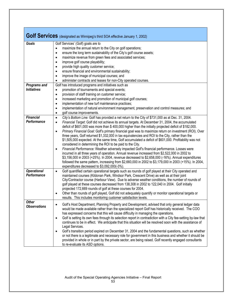|                                           | Golf Services (designated as Winnipeg's third SOA effective January 1, 2002)                                                                                                                                                                                                                                                                                                                                                                                                                                                                                                                                                                                                                                                                                                                                                                                                                                                                                                                                                                                                                                                                                                                                           |
|-------------------------------------------|------------------------------------------------------------------------------------------------------------------------------------------------------------------------------------------------------------------------------------------------------------------------------------------------------------------------------------------------------------------------------------------------------------------------------------------------------------------------------------------------------------------------------------------------------------------------------------------------------------------------------------------------------------------------------------------------------------------------------------------------------------------------------------------------------------------------------------------------------------------------------------------------------------------------------------------------------------------------------------------------------------------------------------------------------------------------------------------------------------------------------------------------------------------------------------------------------------------------|
| Goals                                     | Golf Services' (Golf) goals are to<br>maximize the annual return to the City on golf operations;<br>$\bullet$<br>ensure the long term sustainability of the City's golf course assets;<br>٠<br>maximize revenue from green fees and associated services;<br>$\bullet$<br>improve golf course playability;<br>$\bullet$<br>provide high quality customer service;<br>$\bullet$<br>ensure financial and environmental sustainability;<br>$\bullet$<br>improve the image of municipal courses; and<br>$\bullet$<br>administer contracts and leases for non-City operated courses.<br>٠                                                                                                                                                                                                                                                                                                                                                                                                                                                                                                                                                                                                                                    |
| <b>Programs and</b><br><b>Initiatives</b> | Golf has introduced programs and initiatives such as<br>promotion of tournaments and special events;<br>$\bullet$<br>provision of staff training on customer service;<br>$\bullet$<br>increased marketing and promotion of municipal golf courses;<br>$\bullet$<br>implementation of new turf maintenance practices;<br>$\bullet$<br>implementation of natural environment management, preservation and control measures; and<br>$\bullet$<br>golf course improvements.<br>$\bullet$                                                                                                                                                                                                                                                                                                                                                                                                                                                                                                                                                                                                                                                                                                                                   |
| <b>Financial</b><br>Performance           | City's Bottom Line: Golf has provided a net return to the City of \$731,000 as at Dec. 31, 2004.<br>$\bullet$<br>Financial Target: Golf did not achieve its annual targets. At December 31, 2004, the accumulated<br>$\bullet$<br>deficit of \$601,000 was more than \$400,000 higher than the initially projected deficit of \$182,000.<br>Primary Financial Goal: Golf's primary financial goal was to maximize return on investment (ROI). Over<br>$\bullet$<br>three years, Golf returned \$1,332,000 in tax equivalencies and ROI to the City, rather than the<br>\$1,505,000 expected. At the same time, Golf accumulated a deficit of \$601,000. Profitability was not<br>considered in determining the ROI to be paid to the City.<br>Financial Performance: Weather adversely impacted Golf's financial performance. Losses were<br>$\bullet$<br>incurred in all three years of operation. Annual revenue increased from \$2,522,000 in 2002 to<br>\$3,156,000 in 2003 (+25%). In 2004, revenue decreased to \$2,658,000 (-16%). Annual expenditures<br>followed the same pattern, increasing from \$2,660,000 in 2002 to \$3,179,000 in 2003 (+15%). In 2004,<br>expenditures decreased to \$3,092,000(-3%). |
| <b>Operational</b><br>Performance         | Golf quantified certain operational targets such as rounds of golf played at their City operated and<br>$\bullet$<br>maintained courses (Kildonan Park, Windsor Park, Crescent Drive) as well as at their joint<br>City/Contractor course (Harbour View). Due to adverse weather conditions, the number of rounds of<br>golf played at these courses decreased from 138,308 in 2002 to 122,040 in 2004. Golf initially<br>projected 172,669 rounds of golf at these courses for 2004.<br>Other than rounds of golf played, Golf did not adequately quantify or monitor operational targets or<br>$\bullet$<br>results. This includes monitoring customer satisfaction levels.                                                                                                                                                                                                                                                                                                                                                                                                                                                                                                                                          |
| <b>Other</b><br><b>Observations</b>       | Golf's Host Department, Planning Property and Development, advised that only general ledger data<br>would be made available rather than the specialized report Golf has historically received. The COO<br>has expressed concerns that this will cause difficulty in managing the operations.<br>Golf is setting its own fees through its selection report in contradiction with a City fee-setting by-law that<br>$\bullet$<br>continues to be in effect. We anticipate that this situation will be resolved soon with the assistance of<br>Legal Services.<br>Golf's transition period expired on December 31, 2004 and the fundamental questions, such as whether<br>$\bullet$<br>or not there is a legitimate and necessary role for government in this business and whether it should be<br>provided in whole or in part by the private sector, are being raised. Golf recently engaged consultants<br>to re-evaluate its ASD options.                                                                                                                                                                                                                                                                             |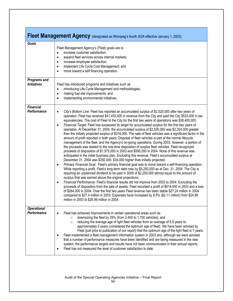|                                           | Fleet Management Agency (designated as Winnipeg's fourth SOA effective January 1, 2003)                                                                                                                                                                                                                                                                                                                                                                                                                                                                                                                                                                                                                                                                                                                                                                                                                                                                                                                                                                                                                                                                                                                                                                                                                                                                                                                                                                                                                                                                                                                                                                                                                                                                                                                                                                                                                                                                                                                                                                                                                                                                           |
|-------------------------------------------|-------------------------------------------------------------------------------------------------------------------------------------------------------------------------------------------------------------------------------------------------------------------------------------------------------------------------------------------------------------------------------------------------------------------------------------------------------------------------------------------------------------------------------------------------------------------------------------------------------------------------------------------------------------------------------------------------------------------------------------------------------------------------------------------------------------------------------------------------------------------------------------------------------------------------------------------------------------------------------------------------------------------------------------------------------------------------------------------------------------------------------------------------------------------------------------------------------------------------------------------------------------------------------------------------------------------------------------------------------------------------------------------------------------------------------------------------------------------------------------------------------------------------------------------------------------------------------------------------------------------------------------------------------------------------------------------------------------------------------------------------------------------------------------------------------------------------------------------------------------------------------------------------------------------------------------------------------------------------------------------------------------------------------------------------------------------------------------------------------------------------------------------------------------------|
| <b>Goals</b>                              | Fleet Management Agency's (Fleet) goals are to<br>increase customer satisfaction;<br>$\bullet$<br>expand fleet services across internal markets;<br>$\bullet$<br>increase employee satisfaction;<br>$\bullet$<br>implement Life Cycle Cost Management; and<br>$\bullet$<br>move toward a self financing operation.<br>$\bullet$                                                                                                                                                                                                                                                                                                                                                                                                                                                                                                                                                                                                                                                                                                                                                                                                                                                                                                                                                                                                                                                                                                                                                                                                                                                                                                                                                                                                                                                                                                                                                                                                                                                                                                                                                                                                                                   |
| <b>Programs and</b><br><b>Initiatives</b> | Fleet has introduced programs and initiatives such as<br>introducing Life Cycle Management and methodologies;<br>$\bullet$<br>making fuel site improvements; and<br>$\bullet$<br>implementing environmental initiatives.<br>$\bullet$                                                                                                                                                                                                                                                                                                                                                                                                                                                                                                                                                                                                                                                                                                                                                                                                                                                                                                                                                                                                                                                                                                                                                                                                                                                                                                                                                                                                                                                                                                                                                                                                                                                                                                                                                                                                                                                                                                                             |
| <b>Financial</b><br>Performance           | City's Bottom Line: Fleet has reported an accumulated surplus of \$2,520,000 after two years of<br>$\bullet$<br>operation. Fleet has received \$41,453,000 in revenue from the City and paid the City \$533,000 in tax<br>equivalencies. The cost of Fleet to the City for the first two years of operations was \$38,400,000.<br>Financial Target: Fleet has surpassed its target for accumulated surplus for the first two years of<br>$\bullet$<br>operation. At December 31, 2004, the accumulated surplus of \$2,520,000 was \$2,204,000 greater<br>than the initially projected surplus of \$316,000. The sale of fleet vehicles was a significant factor in the<br>amount of profit reported in both years. Disposal of fleet vehicles is part of the normal lifecycle<br>management of the fleet, and the Agency's on-going operations. During 2003, however, a portion of<br>the proceeds was related to the one-time disposition of surplus fleet vehicles. Fleet recognized<br>proceeds of disposition of \$1,575,000 in 2003 and \$595,000 in 2004. None of this revenue was<br>anticipated in the initial business plan. Excluding this revenue, Fleet's accumulated surplus at<br>December 31, 2004 was \$350,000, \$34,000 higher than initially projected.<br>Primary Financial Goal: Fleet's primary financial goal was to move toward a self-financing operation.<br>$\bullet$<br>While reporting a profit, Fleet's long-term debt rose by \$5,293,000 as at Dec. 31, 2004. The City is<br>requiring an unplanned dividend to be paid in 2005 of \$2,250,000 almost equal to the amount of<br>surplus that was earned above the original projections.<br>Financial Performance: Fleet's financial results did not improve from 2003 to 2004. Excluding the<br>$\bullet$<br>proceeds of disposition from the sale of assets, Fleet recorded a profit of \$614,000 in 2003 and a loss<br>of \$264,000 in 2004. Over the first two years Fleet revenue has been stable \$27.24 million in 2004<br>compared to \$27.4 million in 2003. Expenses have increased by 8.5% (\$2.11 million) from \$24.88<br>million in 2003 to \$26.99 million in 2004. |
| <b>Operational</b><br>Performance         | Fleet has achieved improvements in certain operational areas such as<br>downsizing the fleet by 29% (from 2,400 to 1,700 vehicles); and<br>$\circ$<br>reducing the average age of light fleet vehicles from an average of 6.9 years to<br>$\circ$<br>approximately 5 years (considered the optimum age of fleet) We have been advised by<br>Fleet (just prior to publication of our report) that the optimum age of the light fleet is 7 years.<br>Fleet implemented a fleet management information system in 2003 and, although we were advised<br>$\bullet$<br>that a number of performance measures have been identified and are being measured in the new<br>system, the performance targets and results have not been communicated in their annual reports.<br>Fleet has not measured the level of customer satisfaction to date.                                                                                                                                                                                                                                                                                                                                                                                                                                                                                                                                                                                                                                                                                                                                                                                                                                                                                                                                                                                                                                                                                                                                                                                                                                                                                                                            |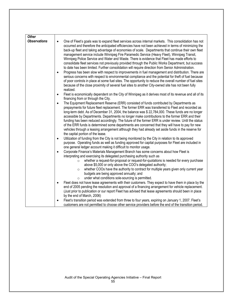| <b>Other</b>        |                                                                                                                                                                                                                                                                                                                                                                                                                                                                                                                                                                                                                                                                                                                                                                                                                                                                                                                                                                                                                                                                                                                                                                                               |
|---------------------|-----------------------------------------------------------------------------------------------------------------------------------------------------------------------------------------------------------------------------------------------------------------------------------------------------------------------------------------------------------------------------------------------------------------------------------------------------------------------------------------------------------------------------------------------------------------------------------------------------------------------------------------------------------------------------------------------------------------------------------------------------------------------------------------------------------------------------------------------------------------------------------------------------------------------------------------------------------------------------------------------------------------------------------------------------------------------------------------------------------------------------------------------------------------------------------------------|
| <b>Observations</b> | One of Fleet's goals was to expand fleet services across internal markets. This consolidation has not<br>$\bullet$<br>occurred and therefore the anticipated efficiencies have not been achieved in terms of minimizing the<br>back-up fleet and taking advantage of economies of scale. Departments that continue their own fleet<br>management service include Winnipeg Fire Paramedic Service (Heavy Fleet), Winnipeg Transit,<br>Winnipeg Police Service and Water and Waste. There is evidence that Fleet has made efforts to<br>consolidate fleet services not previously provided through the Public Works Department, but success<br>to date has been limited. Further consolidation will require direction from Senior Administration.<br>Progress has been slow with respect to improvements in fuel management and distribution. There are<br>$\bullet$<br>serious concerns with respect to environmental compliance and the potential for theft of fuel because<br>of poor controls in place at some fuel sites. The opportunity to reduce the overall number of fuel sites<br>because of the close proximity of several fuel sites to another City-owned site has not been fully |
|                     | realized.<br>Fleet is economically dependent on the City of Winnipeg as it derives most of its revenue and all of its<br>$\bullet$                                                                                                                                                                                                                                                                                                                                                                                                                                                                                                                                                                                                                                                                                                                                                                                                                                                                                                                                                                                                                                                            |
|                     | financing from or through the City.<br>The Equipment Replacement Reserve (ERR) consisted of funds contributed by Departments as<br>$\bullet$<br>prepayments for future fleet replacement. The former ERR was transferred to Fleet and recorded as<br>long-term debt. As of December 31, 2004, the balance was \$22,784,000. These funds are no longer<br>accessible by Departments. Departments no longer make contributions to the former ERR and their<br>funding has been reduced accordingly. The future of the former ERR is under review. Until the status<br>of the ERR funds is determined some departments are concerned that they will have to pay for new<br>vehicles through a leasing arrangement although they had already set aside funds in the reserve for<br>the capital portion of the lease.                                                                                                                                                                                                                                                                                                                                                                              |
|                     | Utilization of funding from the City is not being monitored by the City in relation to its approved<br>$\bullet$<br>purpose. Operating funds as well as funding approved for capital purposes for Fleet are included in<br>one general ledger account making it difficult to monitor usage.                                                                                                                                                                                                                                                                                                                                                                                                                                                                                                                                                                                                                                                                                                                                                                                                                                                                                                   |
|                     | Corporate Finance's Materials Management Branch has some concerns about how Fleet is<br>$\bullet$<br>interpreting and exercising its delegated purchasing authority such as                                                                                                                                                                                                                                                                                                                                                                                                                                                                                                                                                                                                                                                                                                                                                                                                                                                                                                                                                                                                                   |
|                     | whether a request-for-proposal or request-for-quotations is needed for every purchase<br>$\circ$<br>above \$5,000 or only above the COO's delegated authority;<br>whether COOs have the authority to contract for multiple years given only current year<br>$\circ$<br>budgets are being approved annually; and<br>under what conditions sole-sourcing is permitted.<br>$\circ$                                                                                                                                                                                                                                                                                                                                                                                                                                                                                                                                                                                                                                                                                                                                                                                                               |
|                     | Fleet does not have lease agreements with their customers. They expect to have them in place by the<br>$\bullet$<br>end of 2005 pending the resolution and approval of a financing arrangement for vehicle replacement.<br>(Just prior to publication or our report Fleet has advised that lease agreements should been in place<br>by the end of March, 2006)                                                                                                                                                                                                                                                                                                                                                                                                                                                                                                                                                                                                                                                                                                                                                                                                                                |
|                     | Fleet's transition period was extended from three to four years, expiring on January 1, 2007. Fleet's<br>٠<br>customers are not permitted to choose other service providers before the end of the transition period.                                                                                                                                                                                                                                                                                                                                                                                                                                                                                                                                                                                                                                                                                                                                                                                                                                                                                                                                                                          |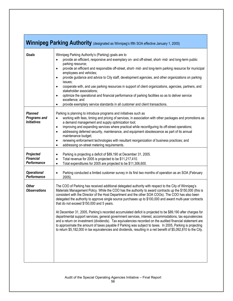| Winnipeg Parking Authority (designated as Winnipeg's fifth SOA effective January 1, 2005) |                                                                                                                                                                                                                                                                                                                                                                                                                                                                                                                                                                                                                                                                                                                                                                                                                                                                                                                                                                                                                                                            |
|-------------------------------------------------------------------------------------------|------------------------------------------------------------------------------------------------------------------------------------------------------------------------------------------------------------------------------------------------------------------------------------------------------------------------------------------------------------------------------------------------------------------------------------------------------------------------------------------------------------------------------------------------------------------------------------------------------------------------------------------------------------------------------------------------------------------------------------------------------------------------------------------------------------------------------------------------------------------------------------------------------------------------------------------------------------------------------------------------------------------------------------------------------------|
| Goals                                                                                     | Winnipeg Parking Authority's (Parking) goals are to<br>provide an efficient, responsive and exemplary on- and off-street, short- mid- and long-term public<br>parking resource;<br>provide an efficient and responsible off-street, short- mid- and long-term parking resource for municipal<br>$\bullet$<br>employees and vehicles;<br>provide guidance and advice to City staff, development agencies, and other organizations on parking<br>$\bullet$<br>issues;<br>cooperate with, and use parking resources in support of client organizations, agencies, partners, and<br>$\bullet$<br>stakeholder associations;<br>optimize the operational and financial performance of parking facilities so as to deliver service<br>$\bullet$<br>excellence; and<br>provide exemplary service standards in all customer and client transactions.<br>$\bullet$                                                                                                                                                                                                   |
| <b>Planned</b><br><b>Programs and</b><br><b>Initiatives</b>                               | Parking is planning to introduce programs and initiatives such as<br>working with fees, timing and pricing of services, in association with other packages and promotions as<br>$\bullet$<br>a demand management and supply optimization tool;<br>improving and expanding services where practical while reconfiguring its off-street operations;<br>$\bullet$<br>addressing deferred security, maintenance, and equipment obsolescence as part of its annual<br>$\bullet$<br>maintenance budget;<br>renewing enforcement technologies with resultant reorganization of business practices; and<br>$\bullet$<br>addressing on-street metering requirements.<br>$\bullet$                                                                                                                                                                                                                                                                                                                                                                                   |
| Projected<br><b>Financial</b><br>Performance                                              | Parking is projecting a deficit of \$89,190 at December 31, 2005.<br>$\bullet$<br>Total revenue for 2005 is projected to be \$11,217,410.<br>$\bullet$<br>Total expenditures for 2005 are projected to be \$11,306,600.<br>$\bullet$                                                                                                                                                                                                                                                                                                                                                                                                                                                                                                                                                                                                                                                                                                                                                                                                                       |
| <b>Operational</b><br>Performance                                                         | Parking conducted a limited customer survey in its first two months of operation as an SOA (February<br>$\bullet$<br>$2005$ )                                                                                                                                                                                                                                                                                                                                                                                                                                                                                                                                                                                                                                                                                                                                                                                                                                                                                                                              |
| <b>Other</b><br><b>Observations</b>                                                       | The COO of Parking has received additional delegated authority with respect to the City of Winnipeg's<br>Materials Management Policy. While the COO has the authority to award contracts up the \$150,000 (this is<br>consistent with the Director of the Host Department and the other SOA COOs). The COO has also been<br>delegated the authority to approve single source purchases up to \$100,000 and award multi-year contracts<br>that do not exceed \$150,000 and 5 years.<br>At December 31, 2005, Parking's recorded accumulated deficit is projected to be \$89,190 after charges for<br>departmental support services, general government services, interest, accommodations, tax equivalencies<br>and a return on investment (dividends). Tax equivalencies recorded on the audited financial statement are<br>to approximate the amount of taxes payable if Parking was subject to taxes. In 2005, Parking is projecting<br>to return \$5,182,000 in tax equivalencies and dividends, resulting in a net benefit of \$5,092,810 to the City. |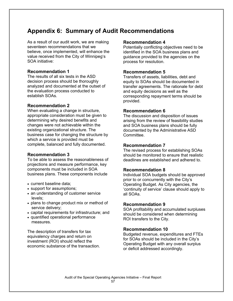# **Appendix 6: Summary of Audit Recommendations**

As a result of our audit work, we are making seventeen recommendations that we believe, once implemented, will enhance the value received from the City of Winnipeg's SOA initiative:

#### **Recommendation 1**

The results of all six tests in the ASD decision process should be thoroughly analyzed and documented at the outset of the evaluation process conducted to establish SOAs.

#### **Recommendation 2**

When evaluating a change in structure, appropriate consideration must be given to determining why desired benefits and changes were not achievable within the existing organizational structure. The business case for changing the structure by which a service is provided must be complete, balanced and fully documented.

#### **Recommendation 3**

To be able to assess the reasonableness of projections and measure performance, key components must be included in SOA business plans. These components include

- current baseline data;
- support for assumptions;
- an understanding of customer service levels;
- plans to change product mix or method of service delivery;
- capital requirements for infrastructure; and
- quantified operational performance measures.

The description of transfers for tax equivalency charges and return on investment (ROI) should reflect the economic substance of the transaction.

#### **Recommendation 4**

Potentially conflicting objectives need to be identified in the SOA business plans and guidance provided to the agencies on the process for resolution.

#### **Recommendation 5**

Transfers of assets, liabilities, debt and equity to SOAs should be documented in transfer agreements. The rationale for debt and equity decisions as well as the corresponding repayment terms should be provided.

#### **Recommendation 6**

The discussion and disposition of issues arising from the review of feasibility studies and SOA business plans should be fully documented by the Administrative ASD Committee.

#### **Recommendation 7**

The revised process for establishing SOAs should be monitored to ensure that realistic deadlines are established and adhered to.

#### **Recommendation 8**

Individual SOA budgets should be approved prior to or concurrently with the City's Operating Budget. As City agencies, the 'continuity of service' clause should apply to all SOAs.

#### **Recommendation 9**

SOA profitability and accumulated surpluses should be considered when determining ROI transfers to the City.

#### **Recommendation 10**

Budgeted revenue, expenditures and FTEs for SOAs should be included in the City's Operating Budget with any overall surplus or deficit addressed accordingly.